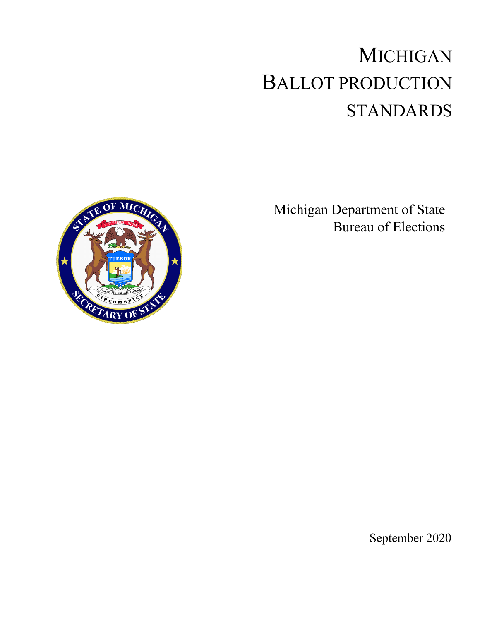# MICHIGAN BALLOT PRODUCTION STANDARDS

Michigan Department of State Bureau of Elections



September 2020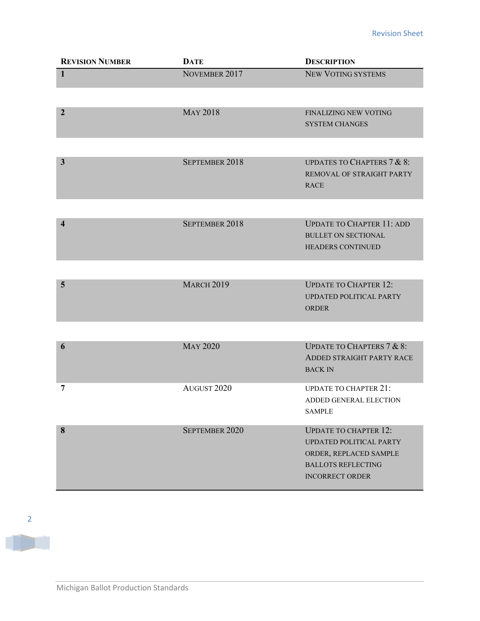| <b>REVISION NUMBER</b>  | <b>DATE</b>       | <b>DESCRIPTION</b>                                                                                                                       |
|-------------------------|-------------------|------------------------------------------------------------------------------------------------------------------------------------------|
| $\mathbf{1}$            | NOVEMBER 2017     | NEW VOTING SYSTEMS                                                                                                                       |
|                         |                   |                                                                                                                                          |
| $\overline{2}$          | <b>MAY 2018</b>   | FINALIZING NEW VOTING<br><b>SYSTEM CHANGES</b>                                                                                           |
|                         |                   |                                                                                                                                          |
| $\mathbf{3}$            | SEPTEMBER 2018    | <b>UPDATES TO CHAPTERS 7 &amp; 8:</b><br>REMOVAL OF STRAIGHT PARTY<br><b>RACE</b>                                                        |
|                         |                   |                                                                                                                                          |
| $\overline{\mathbf{4}}$ | SEPTEMBER 2018    | <b>UPDATE TO CHAPTER 11: ADD</b><br><b>BULLET ON SECTIONAL</b><br><b>HEADERS CONTINUED</b>                                               |
|                         |                   |                                                                                                                                          |
| 5                       | <b>MARCH 2019</b> | <b>UPDATE TO CHAPTER 12:</b><br>UPDATED POLITICAL PARTY<br><b>ORDER</b>                                                                  |
|                         |                   |                                                                                                                                          |
| 6                       | <b>MAY 2020</b>   | <b>UPDATE TO CHAPTERS 7 &amp; 8:</b><br>ADDED STRAIGHT PARTY RACE<br><b>BACK IN</b>                                                      |
| 7                       | AUGUST 2020       | <b>UPDATE TO CHAPTER 21:</b><br>ADDED GENERAL ELECTION<br><b>SAMPLE</b>                                                                  |
| 8                       | SEPTEMBER 2020    | <b>UPDATE TO CHAPTER 12:</b><br>UPDATED POLITICAL PARTY<br>ORDER, REPLACED SAMPLE<br><b>BALLOTS REFLECTING</b><br><b>INCORRECT ORDER</b> |

T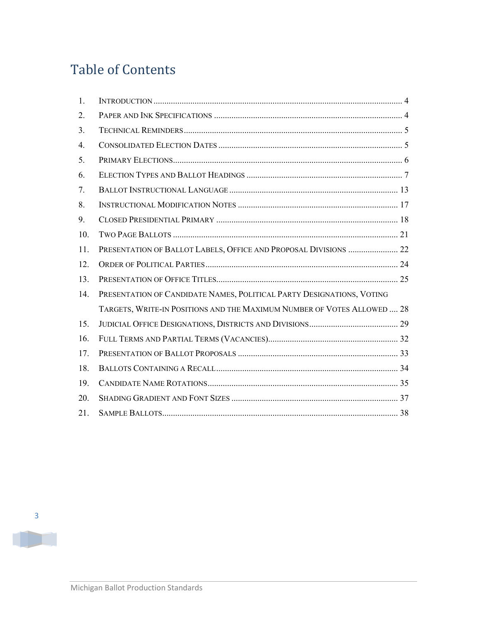# Table of Contents

| 1.  |                                                                         |  |
|-----|-------------------------------------------------------------------------|--|
| 2.  |                                                                         |  |
| 3.  |                                                                         |  |
| 4.  |                                                                         |  |
| 5.  |                                                                         |  |
| 6.  |                                                                         |  |
| 7.  |                                                                         |  |
| 8.  |                                                                         |  |
| 9.  |                                                                         |  |
| 10. |                                                                         |  |
| 11. | PRESENTATION OF BALLOT LABELS, OFFICE AND PROPOSAL DIVISIONS  22        |  |
| 12. |                                                                         |  |
| 13. |                                                                         |  |
| 14. | PRESENTATION OF CANDIDATE NAMES, POLITICAL PARTY DESIGNATIONS, VOTING   |  |
|     | TARGETS, WRITE-IN POSITIONS AND THE MAXIMUM NUMBER OF VOTES ALLOWED  28 |  |
| 15. |                                                                         |  |
| 16. |                                                                         |  |
| 17. |                                                                         |  |
| 18. |                                                                         |  |
| 19. |                                                                         |  |
| 20. |                                                                         |  |
| 21. |                                                                         |  |

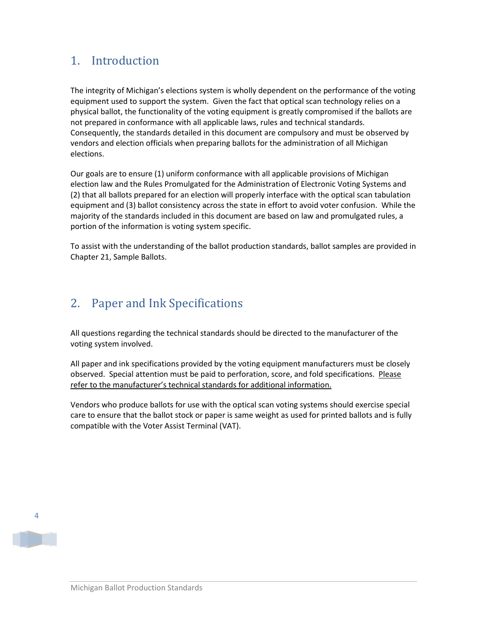### <span id="page-3-0"></span>1. Introduction

The integrity of Michigan's elections system is wholly dependent on the performance of the voting equipment used to support the system. Given the fact that optical scan technology relies on a physical ballot, the functionality of the voting equipment is greatly compromised if the ballots are not prepared in conformance with all applicable laws, rules and technical standards. Consequently, the standards detailed in this document are compulsory and must be observed by vendors and election officials when preparing ballots for the administration of all Michigan elections.

Our goals are to ensure (1) uniform conformance with all applicable provisions of Michigan election law and the Rules Promulgated for the Administration of Electronic Voting Systems and (2) that all ballots prepared for an election will properly interface with the optical scan tabulation equipment and (3) ballot consistency across the state in effort to avoid voter confusion. While the majority of the standards included in this document are based on law and promulgated rules, a portion of the information is voting system specific.

To assist with the understanding of the ballot production standards, ballot samples are provided in Chapter 21, Sample Ballots.

### <span id="page-3-1"></span>2. Paper and Ink Specifications

All questions regarding the technical standards should be directed to the manufacturer of the voting system involved.

All paper and ink specifications provided by the voting equipment manufacturers must be closely observed. Special attention must be paid to perforation, score, and fold specifications. Please refer to the manufacturer's technical standards for additional information.

Vendors who produce ballots for use with the optical scan voting systems should exercise special care to ensure that the ballot stock or paper is same weight as used for printed ballots and is fully compatible with the Voter Assist Terminal (VAT).

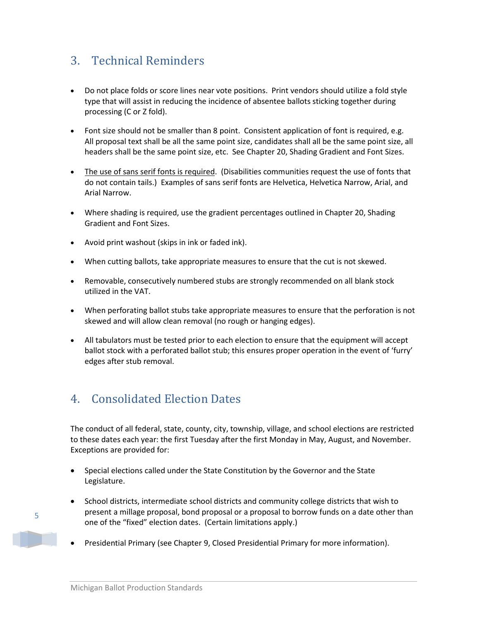### <span id="page-4-0"></span>3. Technical Reminders

- Do not place folds or score lines near vote positions. Print vendors should utilize a fold style type that will assist in reducing the incidence of absentee ballots sticking together during processing (C or Z fold).
- Font size should not be smaller than 8 point. Consistent application of font is required, e.g. All proposal text shall be all the same point size, candidates shall all be the same point size, all headers shall be the same point size, etc. See Chapter 20, Shading Gradient and Font Sizes.
- The use of sans serif fonts is required. (Disabilities communities request the use of fonts that do not contain tails.) Examples of sans serif fonts are Helvetica, Helvetica Narrow, Arial, and Arial Narrow.
- Where shading is required, use the gradient percentages outlined in Chapter 20, Shading Gradient and Font Sizes.
- Avoid print washout (skips in ink or faded ink).
- When cutting ballots, take appropriate measures to ensure that the cut is not skewed.
- Removable, consecutively numbered stubs are strongly recommended on all blank stock utilized in the VAT.
- When perforating ballot stubs take appropriate measures to ensure that the perforation is not skewed and will allow clean removal (no rough or hanging edges).
- All tabulators must be tested prior to each election to ensure that the equipment will accept ballot stock with a perforated ballot stub; this ensures proper operation in the event of 'furry' edges after stub removal.

### <span id="page-4-1"></span>4. Consolidated Election Dates

The conduct of all federal, state, county, city, township, village, and school elections are restricted to these dates each year: the first Tuesday after the first Monday in May, August, and November. Exceptions are provided for:

- Special elections called under the State Constitution by the Governor and the State Legislature.
- School districts, intermediate school districts and community college districts that wish to present a millage proposal, bond proposal or a proposal to borrow funds on a date other than one of the "fixed" election dates. (Certain limitations apply.)
- Presidential Primary (see Chapter 9, Closed Presidential Primary for more information).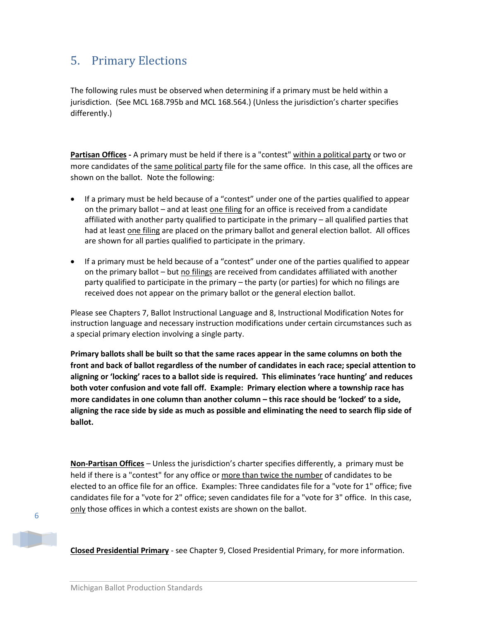### <span id="page-5-0"></span>5. Primary Elections

The following rules must be observed when determining if a primary must be held within a jurisdiction. (See MCL 168.795b and MCL 168.564.) (Unless the jurisdiction's charter specifies differently.)

**Partisan Offices -** A primary must be held if there is a "contest" within a political party or two or more candidates of the same political party file for the same office. In this case, all the offices are shown on the ballot. Note the following:

- If a primary must be held because of a "contest" under one of the parties qualified to appear on the primary ballot – and at least one filing for an office is received from a candidate affiliated with another party qualified to participate in the primary – all qualified parties that had at least one filing are placed on the primary ballot and general election ballot. All offices are shown for all parties qualified to participate in the primary.
- If a primary must be held because of a "contest" under one of the parties qualified to appear on the primary ballot – but no filings are received from candidates affiliated with another party qualified to participate in the primary – the party (or parties) for which no filings are received does not appear on the primary ballot or the general election ballot.

Please see Chapters 7, Ballot Instructional Language and 8, Instructional Modification Notes for instruction language and necessary instruction modifications under certain circumstances such as a special primary election involving a single party.

**Primary ballots shall be built so that the same races appear in the same columns on both the front and back of ballot regardless of the number of candidates in each race; special attention to aligning or 'locking' races to a ballot side is required. This eliminates 'race hunting' and reduces both voter confusion and vote fall off. Example: Primary election where a township race has more candidates in one column than another column – this race should be 'locked' to a side, aligning the race side by side as much as possible and eliminating the need to search flip side of ballot.** 

**Non-Partisan Offices** *–* Unless the jurisdiction's charter specifies differently, a primary must be held if there is a "contest" for any office or more than twice the number of candidates to be elected to an office file for an office. Examples: Three candidates file for a "vote for 1" office; five candidates file for a "vote for 2" office; seven candidates file for a "vote for 3" office. In this case, only those offices in which a contest exists are shown on the ballot.

6

**Closed Presidential Primary** - see Chapter 9, Closed Presidential Primary, for more information.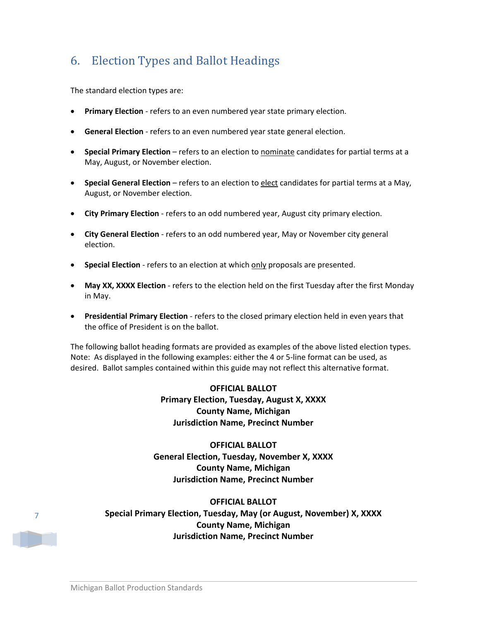### <span id="page-6-0"></span>6. Election Types and Ballot Headings

The standard election types are:

- **Primary Election** refers to an even numbered year state primary election.
- **General Election** refers to an even numbered year state general election.
- **Special Primary Election**  refers to an election to nominate candidates for partial terms at a May, August, or November election.
- **Special General Election**  refers to an election to elect candidates for partial terms at a May, August, or November election.
- **City Primary Election** refers to an odd numbered year, August city primary election.
- **City General Election** refers to an odd numbered year, May or November city general election.
- **Special Election** refers to an election at which only proposals are presented.
- **May XX, XXXX Election**  refers to the election held on the first Tuesday after the first Monday in May.
- **Presidential Primary Election**  refers to the closed primary election held in even years that the office of President is on the ballot.

The following ballot heading formats are provided as examples of the above listed election types. Note: As displayed in the following examples: either the 4 or 5-line format can be used, as desired. Ballot samples contained within this guide may not reflect this alternative format.

### **OFFICIAL BALLOT Primary Election, Tuesday, August X, XXXX County Name, Michigan Jurisdiction Name, Precinct Number**

### **OFFICIAL BALLOT General Election, Tuesday, November X, XXXX County Name, Michigan Jurisdiction Name, Precinct Number**

### **OFFICIAL BALLOT Special Primary Election, Tuesday, May (or August, November) X, XXXX County Name, Michigan Jurisdiction Name, Precinct Number**

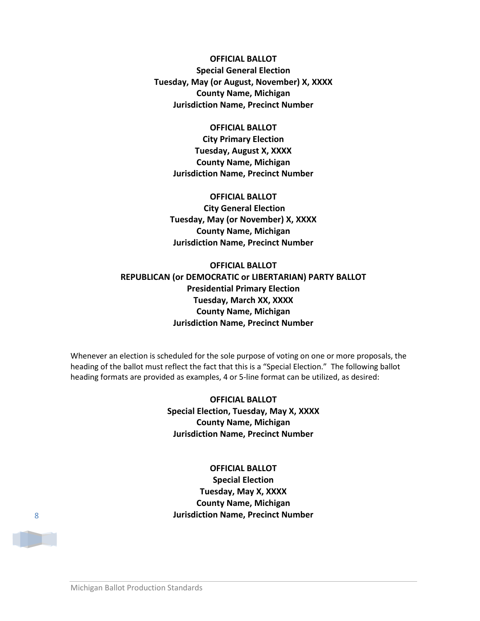**OFFICIAL BALLOT Special General Election Tuesday, May (or August, November) X, XXXX County Name, Michigan Jurisdiction Name, Precinct Number**

#### **OFFICIAL BALLOT**

**City Primary Election Tuesday, August X, XXXX County Name, Michigan Jurisdiction Name, Precinct Number**

**OFFICIAL BALLOT City General Election Tuesday, May (or November) X, XXXX County Name, Michigan Jurisdiction Name, Precinct Number**

### **OFFICIAL BALLOT REPUBLICAN (or DEMOCRATIC or LIBERTARIAN) PARTY BALLOT Presidential Primary Election Tuesday, March XX, XXXX County Name, Michigan Jurisdiction Name, Precinct Number**

Whenever an election is scheduled for the sole purpose of voting on one or more proposals, the heading of the ballot must reflect the fact that this is a "Special Election." The following ballot heading formats are provided as examples, 4 or 5-line format can be utilized, as desired:

> **OFFICIAL BALLOT Special Election, Tuesday, May X, XXXX County Name, Michigan Jurisdiction Name, Precinct Number**

**OFFICIAL BALLOT Special Election Tuesday, May X, XXXX County Name, Michigan Jurisdiction Name, Precinct Number**

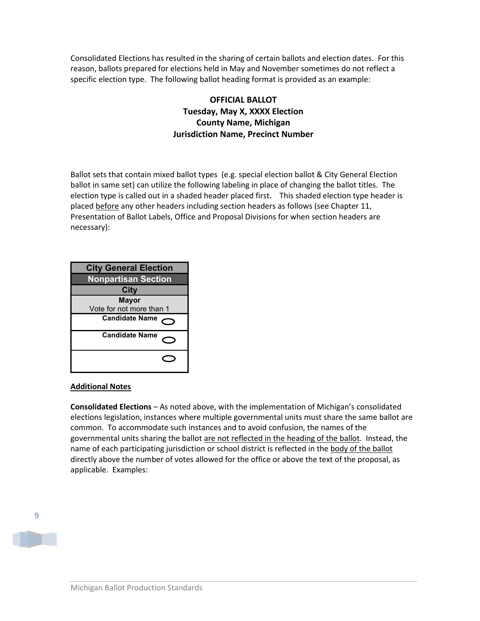Consolidated Elections has resulted in the sharing of certain ballots and election dates. For this reason, ballots prepared for elections held in May and November sometimes do not reflect a specific election type. The following ballot heading format is provided as an example:

### **OFFICIAL BALLOT Tuesday, May X, XXXX Election County Name, Michigan Jurisdiction Name, Precinct Number**

Ballot sets that contain mixed ballot types (e.g. special election ballot & City General Election ballot in same set) can utilize the following labeling in place of changing the ballot titles. The election type is called out in a shaded header placed first. This shaded election type header is placed before any other headers including section headers as follows (see Chapter 11, Presentation of Ballot Labels, Office and Proposal Divisions for when section headers are necessary):



#### **Additional Notes**

**Consolidated Elections** – As noted above, with the implementation of Michigan's consolidated elections legislation, instances where multiple governmental units must share the same ballot are common. To accommodate such instances and to avoid confusion, the names of the governmental units sharing the ballot are not reflected in the heading of the ballot. Instead, the name of each participating jurisdiction or school district is reflected in the body of the ballot directly above the number of votes allowed for the office or above the text of the proposal, as applicable. Examples:

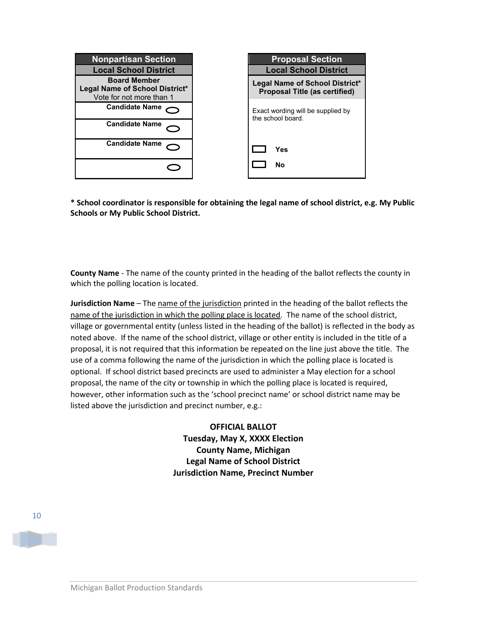

**\* School coordinator is responsible for obtaining the legal name of school district, e.g. My Public Schools or My Public School District.**

**County Name** - The name of the county printed in the heading of the ballot reflects the county in which the polling location is located.

**Jurisdiction Name** – The name of the jurisdiction printed in the heading of the ballot reflects the name of the jurisdiction in which the polling place is located. The name of the school district, village or governmental entity (unless listed in the heading of the ballot) is reflected in the body as noted above. If the name of the school district, village or other entity is included in the title of a proposal, it is not required that this information be repeated on the line just above the title. The use of a comma following the name of the jurisdiction in which the polling place is located is optional. If school district based precincts are used to administer a May election for a school proposal, the name of the city or township in which the polling place is located is required, however, other information such as the 'school precinct name' or school district name may be listed above the jurisdiction and precinct number, e.g.:

> **OFFICIAL BALLOT Tuesday, May X, XXXX Election County Name, Michigan Legal Name of School District Jurisdiction Name, Precinct Number**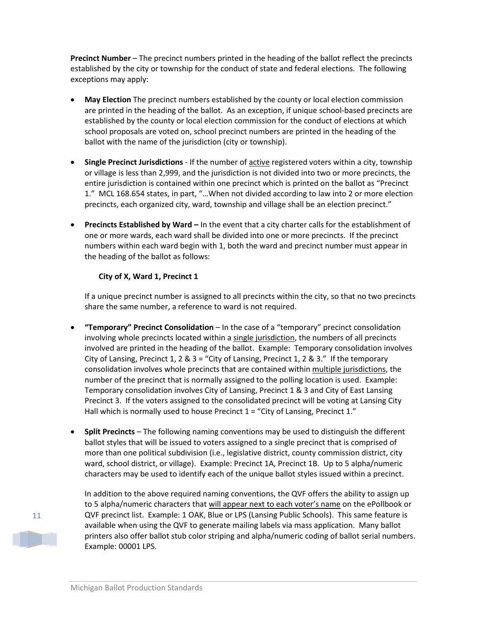**Precinct Number** – The precinct numbers printed in the heading of the ballot reflect the precincts established by the city or township for the conduct of state and federal elections. The following exceptions may apply:

- **May Election** The precinct numbers established by the county or local election commission are printed in the heading of the ballot. As an exception, if unique school-based precincts are established by the county or local election commission for the conduct of elections at which school proposals are voted on, school precinct numbers are printed in the heading of the ballot with the name of the jurisdiction (city or township).
- **Single Precinct Jurisdictions** If the number of **active registered voters within a city**, township or village is less than 2,999, and the jurisdiction is not divided into two or more precincts, the entire jurisdiction is contained within one precinct which is printed on the ballot as "Precinct 1." MCL 168.654 states, in part, "…When not divided according to law into 2 or more election precincts, each organized city, ward, township and village shall be an election precinct."
- **Precincts Established by Ward –** In the event that a city charter calls for the establishment of one or more wards, each ward shall be divided into one or more precincts. If the precinct numbers within each ward begin with 1, both the ward and precinct number must appear in the heading of the ballot as follows:

#### **City of X, Ward 1, Precinct 1**

If a unique precinct number is assigned to all precincts within the city, so that no two precincts share the same number, a reference to ward is not required.

- **"Temporary" Precinct Consolidation** In the case of a "temporary" precinct consolidation involving whole precincts located within a single jurisdiction, the numbers of all precincts involved are printed in the heading of the ballot. Example: Temporary consolidation involves City of Lansing, Precinct 1, 2 & 3 = "City of Lansing, Precinct 1, 2 & 3." If the temporary consolidation involves whole precincts that are contained within multiple jurisdictions, the number of the precinct that is normally assigned to the polling location is used. Example: Temporary consolidation involves City of Lansing, Precinct 1 & 3 and City of East Lansing Precinct 3. If the voters assigned to the consolidated precinct will be voting at Lansing City Hall which is normally used to house Precinct  $1 =$  "City of Lansing, Precinct 1."
- **Split Precincts** The following naming conventions may be used to distinguish the different ballot styles that will be issued to voters assigned to a single precinct that is comprised of more than one political subdivision (i.e., legislative district, county commission district, city ward, school district, or village). Example: Precinct 1A, Precinct 1B. Up to 5 alpha/numeric characters may be used to identify each of the unique ballot styles issued within a precinct.

11

In addition to the above required naming conventions, the QVF offers the ability to assign up to 5 alpha/numeric characters that will appear next to each voter's name on the ePollbook or QVF precinct list. Example: 1 OAK, Blue or LPS (Lansing Public Schools). This same feature is available when using the QVF to generate mailing labels via mass application. Many ballot printers also offer ballot stub color striping and alpha/numeric coding of ballot serial numbers. Example: 00001 LPS.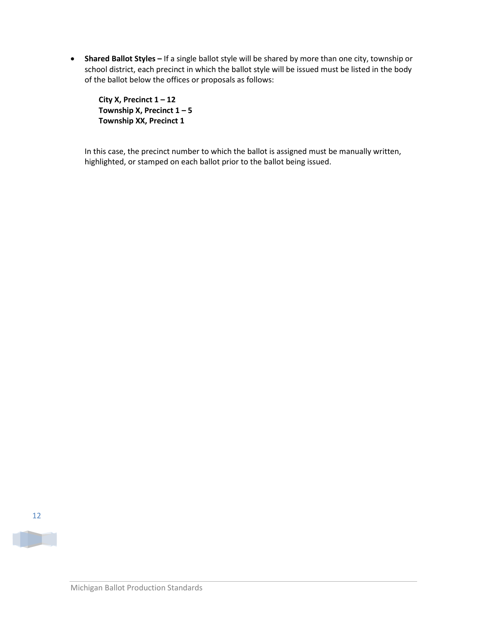• **Shared Ballot Styles –** If a single ballot style will be shared by more than one city, township or school district, each precinct in which the ballot style will be issued must be listed in the body of the ballot below the offices or proposals as follows:

**City X, Precinct 1 – 12 Township X, Precinct 1 – 5 Township XX, Precinct 1** 

In this case, the precinct number to which the ballot is assigned must be manually written, highlighted, or stamped on each ballot prior to the ballot being issued.



**The Second Second**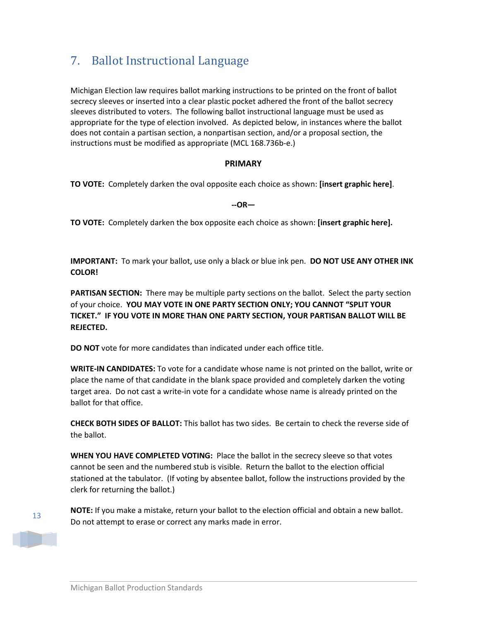# <span id="page-12-0"></span>7. Ballot Instructional Language

Michigan Election law requires ballot marking instructions to be printed on the front of ballot secrecy sleeves or inserted into a clear plastic pocket adhered the front of the ballot secrecy sleeves distributed to voters. The following ballot instructional language must be used as appropriate for the type of election involved. As depicted below, in instances where the ballot does not contain a partisan section, a nonpartisan section, and/or a proposal section, the instructions must be modified as appropriate (MCL 168.736b-e.)

#### **PRIMARY**

**TO VOTE:** Completely darken the oval opposite each choice as shown: **[insert graphic here]**.

**--OR—**

**TO VOTE:** Completely darken the box opposite each choice as shown: **[insert graphic here].**

**IMPORTANT:** To mark your ballot, use only a black or blue ink pen. **DO NOT USE ANY OTHER INK COLOR!**

**PARTISAN SECTION:** There may be multiple party sections on the ballot. Select the party section of your choice. **YOU MAY VOTE IN ONE PARTY SECTION ONLY; YOU CANNOT "SPLIT YOUR TICKET." IF YOU VOTE IN MORE THAN ONE PARTY SECTION, YOUR PARTISAN BALLOT WILL BE REJECTED.**

**DO NOT** vote for more candidates than indicated under each office title.

**WRITE-IN CANDIDATES:** To vote for a candidate whose name is not printed on the ballot, write or place the name of that candidate in the blank space provided and completely darken the voting target area. Do not cast a write-in vote for a candidate whose name is already printed on the ballot for that office.

**CHECK BOTH SIDES OF BALLOT:** This ballot has two sides. Be certain to check the reverse side of the ballot.

**WHEN YOU HAVE COMPLETED VOTING:** Place the ballot in the secrecy sleeve so that votes cannot be seen and the numbered stub is visible. Return the ballot to the election official stationed at the tabulator. (If voting by absentee ballot, follow the instructions provided by the clerk for returning the ballot.)



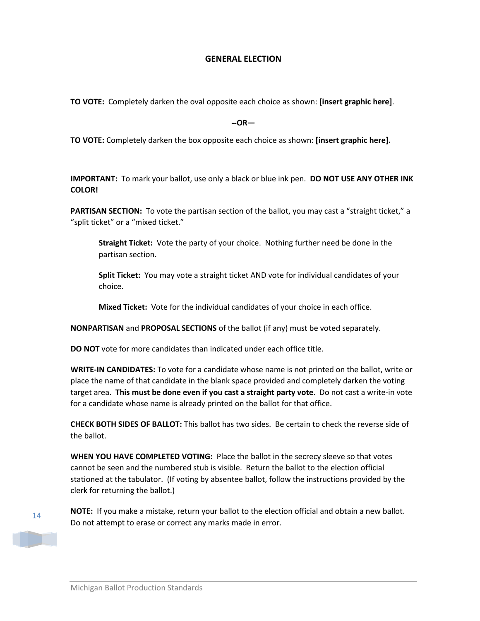#### **GENERAL ELECTION**

**TO VOTE:** Completely darken the oval opposite each choice as shown: **[insert graphic here]**.

**--OR—**

**TO VOTE:** Completely darken the box opposite each choice as shown: **[insert graphic here].**

**IMPORTANT:** To mark your ballot, use only a black or blue ink pen. **DO NOT USE ANY OTHER INK COLOR!**

**PARTISAN SECTION:** To vote the partisan section of the ballot, you may cast a "straight ticket," a "split ticket" or a "mixed ticket."

**Straight Ticket:** Vote the party of your choice. Nothing further need be done in the partisan section.

**Split Ticket:** You may vote a straight ticket AND vote for individual candidates of your choice.

**Mixed Ticket:** Vote for the individual candidates of your choice in each office.

**NONPARTISAN** and **PROPOSAL SECTIONS** of the ballot (if any) must be voted separately.

**DO NOT** vote for more candidates than indicated under each office title.

**WRITE-IN CANDIDATES:** To vote for a candidate whose name is not printed on the ballot, write or place the name of that candidate in the blank space provided and completely darken the voting target area. **This must be done even if you cast a straight party vote**. Do not cast a write-in vote for a candidate whose name is already printed on the ballot for that office.

**CHECK BOTH SIDES OF BALLOT:** This ballot has two sides. Be certain to check the reverse side of the ballot.

**WHEN YOU HAVE COMPLETED VOTING:** Place the ballot in the secrecy sleeve so that votes cannot be seen and the numbered stub is visible. Return the ballot to the election official stationed at the tabulator. (If voting by absentee ballot, follow the instructions provided by the clerk for returning the ballot.)



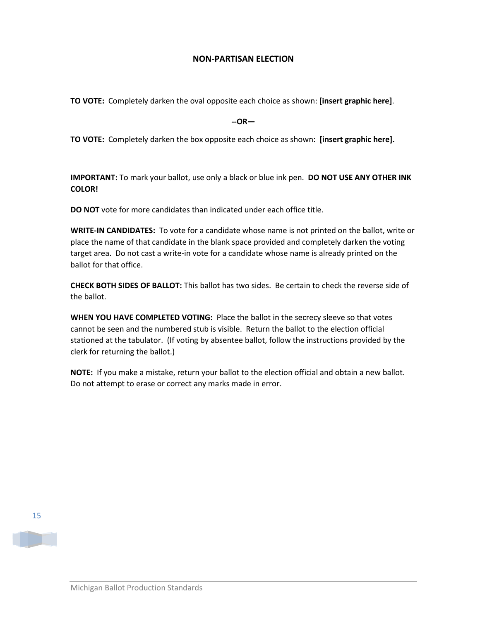#### **NON-PARTISAN ELECTION**

**TO VOTE:** Completely darken the oval opposite each choice as shown: **[insert graphic here]**.

**--OR—**

**TO VOTE:** Completely darken the box opposite each choice as shown: **[insert graphic here].**

**IMPORTANT:** To mark your ballot, use only a black or blue ink pen. **DO NOT USE ANY OTHER INK COLOR!**

**DO NOT** vote for more candidates than indicated under each office title.

**WRITE-IN CANDIDATES:** To vote for a candidate whose name is not printed on the ballot, write or place the name of that candidate in the blank space provided and completely darken the voting target area. Do not cast a write-in vote for a candidate whose name is already printed on the ballot for that office.

**CHECK BOTH SIDES OF BALLOT:** This ballot has two sides. Be certain to check the reverse side of the ballot.

**WHEN YOU HAVE COMPLETED VOTING:** Place the ballot in the secrecy sleeve so that votes cannot be seen and the numbered stub is visible. Return the ballot to the election official stationed at the tabulator. (If voting by absentee ballot, follow the instructions provided by the clerk for returning the ballot.)

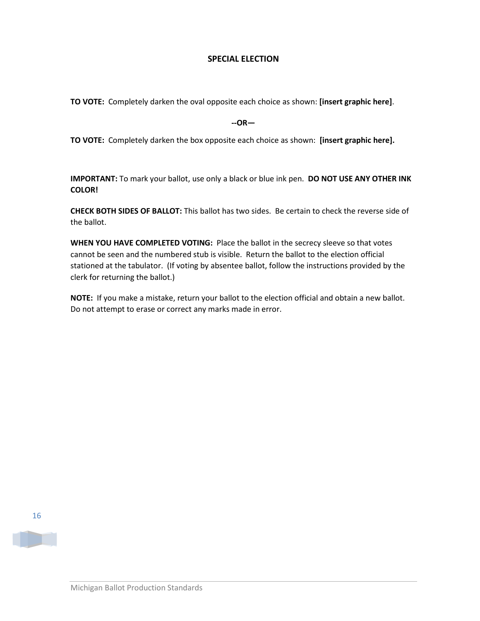#### **SPECIAL ELECTION**

**TO VOTE:** Completely darken the oval opposite each choice as shown: **[insert graphic here]**.

**--OR—**

**TO VOTE:** Completely darken the box opposite each choice as shown: **[insert graphic here].**

**IMPORTANT:** To mark your ballot, use only a black or blue ink pen. **DO NOT USE ANY OTHER INK COLOR!**

**CHECK BOTH SIDES OF BALLOT:** This ballot has two sides. Be certain to check the reverse side of the ballot.

**WHEN YOU HAVE COMPLETED VOTING:** Place the ballot in the secrecy sleeve so that votes cannot be seen and the numbered stub is visible. Return the ballot to the election official stationed at the tabulator. (If voting by absentee ballot, follow the instructions provided by the clerk for returning the ballot.)

**NOTE:** If you make a mistake, return your ballot to the election official and obtain a new ballot. Do not attempt to erase or correct any marks made in error.

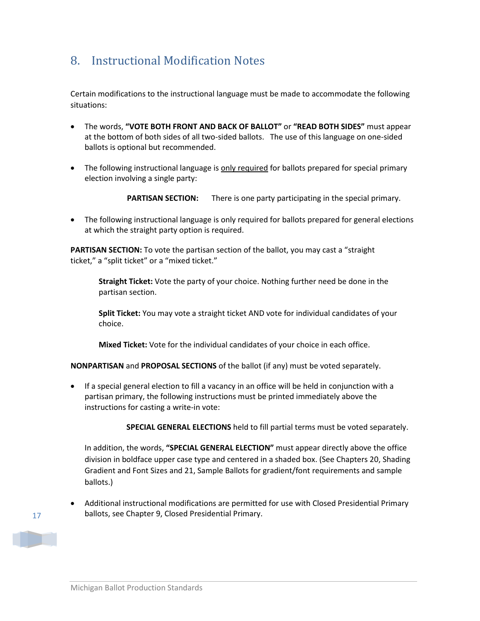# <span id="page-16-0"></span>8. Instructional Modification Notes

Certain modifications to the instructional language must be made to accommodate the following situations:

- The words, **"VOTE BOTH FRONT AND BACK OF BALLOT"** or **"READ BOTH SIDES"** must appear at the bottom of both sides of all two-sided ballots. The use of this language on one-sided ballots is optional but recommended.
- The following instructional language is only required for ballots prepared for special primary election involving a single party:

**PARTISAN SECTION:** There is one party participating in the special primary.

• The following instructional language is only required for ballots prepared for general elections at which the straight party option is required.

**PARTISAN SECTION:** To vote the partisan section of the ballot, you may cast a "straight ticket," a "split ticket" or a "mixed ticket."

**Straight Ticket:** Vote the party of your choice. Nothing further need be done in the partisan section.

**Split Ticket:** You may vote a straight ticket AND vote for individual candidates of your choice.

**Mixed Ticket:** Vote for the individual candidates of your choice in each office.

**NONPARTISAN** and **PROPOSAL SECTIONS** of the ballot (if any) must be voted separately.

• If a special general election to fill a vacancy in an office will be held in conjunction with a partisan primary, the following instructions must be printed immediately above the instructions for casting a write-in vote:

 **SPECIAL GENERAL ELECTIONS** held to fill partial terms must be voted separately.

In addition, the words, **"SPECIAL GENERAL ELECTION"** must appear directly above the office division in boldface upper case type and centered in a shaded box. (See Chapters 20, Shading Gradient and Font Sizes and 21, Sample Ballots for gradient/font requirements and sample ballots.)

• Additional instructional modifications are permitted for use with Closed Presidential Primary ballots, see Chapter 9, Closed Presidential Primary.

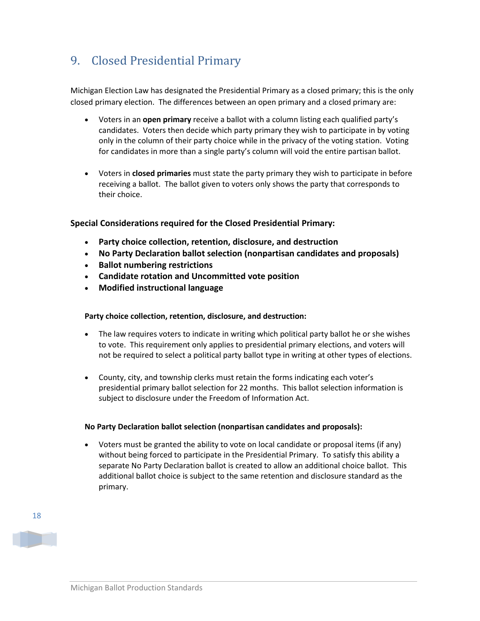# <span id="page-17-0"></span>9. Closed Presidential Primary

Michigan Election Law has designated the Presidential Primary as a closed primary; this is the only closed primary election. The differences between an open primary and a closed primary are:

- Voters in an **open primary** receive a ballot with a column listing each qualified party's candidates. Voters then decide which party primary they wish to participate in by voting only in the column of their party choice while in the privacy of the voting station. Voting for candidates in more than a single party's column will void the entire partisan ballot.
- Voters in **closed primaries** must state the party primary they wish to participate in before receiving a ballot. The ballot given to voters only shows the party that corresponds to their choice.

#### **Special Considerations required for the Closed Presidential Primary:**

- **Party choice collection, retention, disclosure, and destruction**
- **No Party Declaration ballot selection (nonpartisan candidates and proposals)**
- **Ballot numbering restrictions**
- **Candidate rotation and Uncommitted vote position**
- **Modified instructional language**

#### **Party choice collection, retention, disclosure, and destruction:**

- The law requires voters to indicate in writing which political party ballot he or she wishes to vote. This requirement only applies to presidential primary elections, and voters will not be required to select a political party ballot type in writing at other types of elections.
- County, city, and township clerks must retain the forms indicating each voter's presidential primary ballot selection for 22 months. This ballot selection information is subject to disclosure under the Freedom of Information Act.

#### **No Party Declaration ballot selection (nonpartisan candidates and proposals):**

• Voters must be granted the ability to vote on local candidate or proposal items (if any) without being forced to participate in the Presidential Primary. To satisfy this ability a separate No Party Declaration ballot is created to allow an additional choice ballot. This additional ballot choice is subject to the same retention and disclosure standard as the primary.

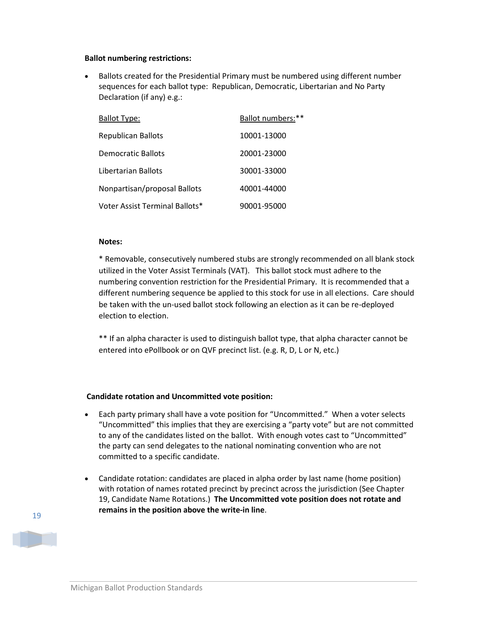#### **Ballot numbering restrictions:**

• Ballots created for the Presidential Primary must be numbered using different number sequences for each ballot type: Republican, Democratic, Libertarian and No Party Declaration (if any) e.g.:

| <b>Ballot Type:</b>            | Ballot numbers:** |
|--------------------------------|-------------------|
| <b>Republican Ballots</b>      | 10001-13000       |
| Democratic Ballots             | 20001-23000       |
| Libertarian Ballots            | 30001-33000       |
| Nonpartisan/proposal Ballots   | 40001-44000       |
| Voter Assist Terminal Ballots* | 90001-95000       |

#### **Notes:**

\* Removable, consecutively numbered stubs are strongly recommended on all blank stock utilized in the Voter Assist Terminals (VAT). This ballot stock must adhere to the numbering convention restriction for the Presidential Primary. It is recommended that a different numbering sequence be applied to this stock for use in all elections. Care should be taken with the un-used ballot stock following an election as it can be re-deployed election to election.

\*\* If an alpha character is used to distinguish ballot type, that alpha character cannot be entered into ePollbook or on QVF precinct list. (e.g. R, D, L or N, etc.)

#### **Candidate rotation and Uncommitted vote position:**

- Each party primary shall have a vote position for "Uncommitted." When a voter selects "Uncommitted" this implies that they are exercising a "party vote" but are not committed to any of the candidates listed on the ballot. With enough votes cast to "Uncommitted" the party can send delegates to the national nominating convention who are not committed to a specific candidate.
- Candidate rotation: candidates are placed in alpha order by last name (home position) with rotation of names rotated precinct by precinct across the jurisdiction (See Chapter 19, Candidate Name Rotations.) **The Uncommitted vote position does not rotate and remains in the position above the write-in line**.

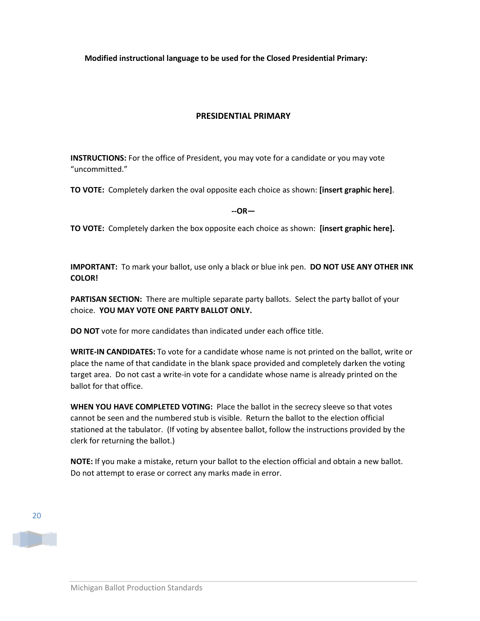**Modified instructional language to be used for the Closed Presidential Primary:**

### **PRESIDENTIAL PRIMARY**

**INSTRUCTIONS:** For the office of President, you may vote for a candidate or you may vote "uncommitted."

**TO VOTE:** Completely darken the oval opposite each choice as shown: **[insert graphic here]**.

**--OR—**

**TO VOTE:** Completely darken the box opposite each choice as shown: **[insert graphic here].**

**IMPORTANT:** To mark your ballot, use only a black or blue ink pen. **DO NOT USE ANY OTHER INK COLOR!**

**PARTISAN SECTION:** There are multiple separate party ballots. Select the party ballot of your choice. **YOU MAY VOTE ONE PARTY BALLOT ONLY.** 

**DO NOT** vote for more candidates than indicated under each office title.

**WRITE-IN CANDIDATES:** To vote for a candidate whose name is not printed on the ballot, write or place the name of that candidate in the blank space provided and completely darken the voting target area. Do not cast a write-in vote for a candidate whose name is already printed on the ballot for that office.

**WHEN YOU HAVE COMPLETED VOTING:** Place the ballot in the secrecy sleeve so that votes cannot be seen and the numbered stub is visible. Return the ballot to the election official stationed at the tabulator. (If voting by absentee ballot, follow the instructions provided by the clerk for returning the ballot.)

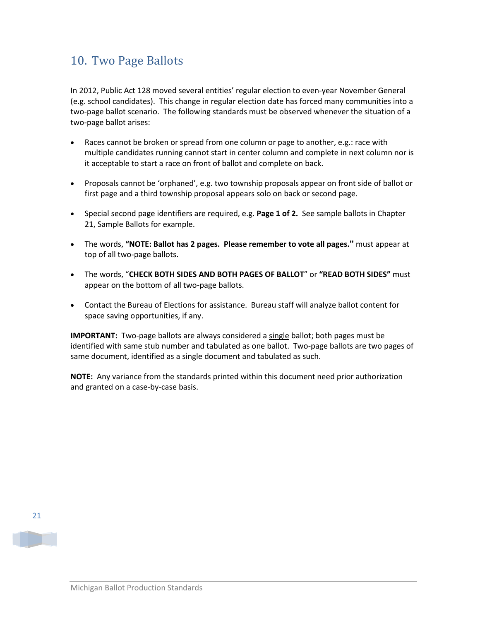## <span id="page-20-0"></span>10. Two Page Ballots

In 2012, Public Act 128 moved several entities' regular election to even-year November General (e.g. school candidates). This change in regular election date has forced many communities into a two-page ballot scenario. The following standards must be observed whenever the situation of a two-page ballot arises:

- Races cannot be broken or spread from one column or page to another, e.g.: race with multiple candidates running cannot start in center column and complete in next column nor is it acceptable to start a race on front of ballot and complete on back.
- Proposals cannot be 'orphaned', e.g. two township proposals appear on front side of ballot or first page and a third township proposal appears solo on back or second page.
- Special second page identifiers are required, e.g. **Page 1 of 2.** See sample ballots in Chapter 21, Sample Ballots for example.
- The words, **"NOTE: Ballot has 2 pages. Please remember to vote all pages."** must appear at top of all two-page ballots.
- The words, "**CHECK BOTH SIDES AND BOTH PAGES OF BALLOT**" or **"READ BOTH SIDES"** must appear on the bottom of all two-page ballots.
- Contact the Bureau of Elections for assistance. Bureau staff will analyze ballot content for space saving opportunities, if any.

**IMPORTANT:** Two-page ballots are always considered a single ballot; both pages must be identified with same stub number and tabulated as one ballot. Two-page ballots are two pages of same document, identified as a single document and tabulated as such.

**NOTE:** Any variance from the standards printed within this document need prior authorization and granted on a case-by-case basis.

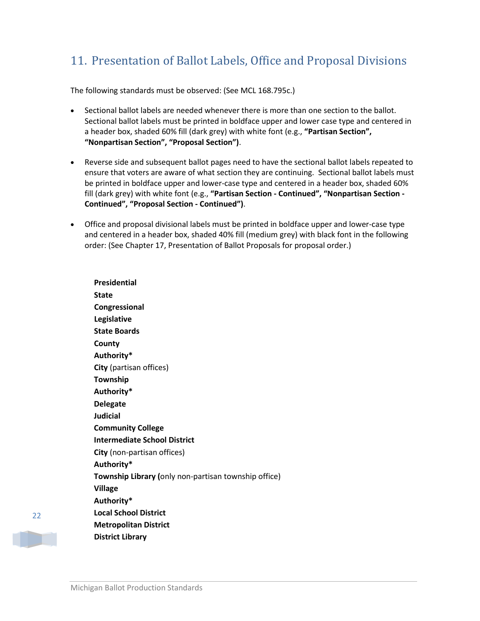# <span id="page-21-0"></span>11. Presentation of Ballot Labels, Office and Proposal Divisions

The following standards must be observed: (See MCL 168.795c.)

- Sectional ballot labels are needed whenever there is more than one section to the ballot. Sectional ballot labels must be printed in boldface upper and lower case type and centered in a header box, shaded 60% fill (dark grey) with white font (e.g., **"Partisan Section", "Nonpartisan Section", "Proposal Section")**.
- Reverse side and subsequent ballot pages need to have the sectional ballot labels repeated to ensure that voters are aware of what section they are continuing. Sectional ballot labels must be printed in boldface upper and lower-case type and centered in a header box, shaded 60% fill (dark grey) with white font (e.g., **"Partisan Section - Continued", "Nonpartisan Section - Continued", "Proposal Section - Continued")**.
- Office and proposal divisional labels must be printed in boldface upper and lower-case type and centered in a header box, shaded 40% fill (medium grey) with black font in the following order: (See Chapter 17, Presentation of Ballot Proposals for proposal order.)

**Presidential State Congressional Legislative State Boards County Authority\* City** (partisan offices) **Township Authority\* Delegate Judicial Community College Intermediate School District City** (non-partisan offices) **Authority\* Township Library (**only non-partisan township office) **Village Authority\* Local School District Metropolitan District District Library**

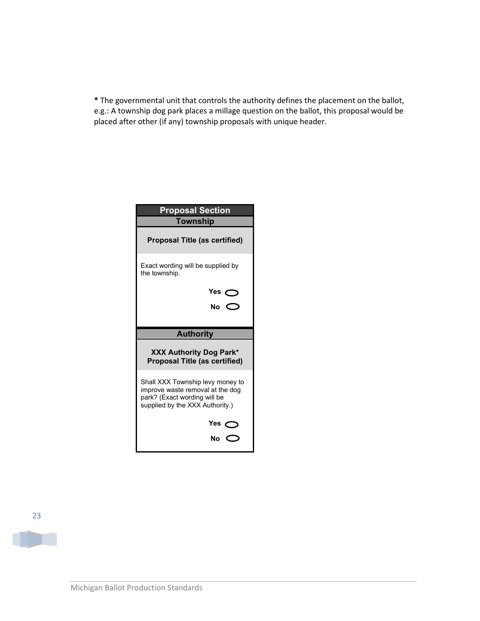**\*** The governmental unit that controls the authority defines the placement on the ballot, e.g.: A township dog park places a millage question on the ballot, this proposal would be placed after other (if any) township proposals with unique header.

| <b>Proposal Section</b><br>Township                                                                                                     |
|-----------------------------------------------------------------------------------------------------------------------------------------|
| Proposal Title (as certified)                                                                                                           |
| Exact wording will be supplied by<br>the township.                                                                                      |
| Yes $\bigcirc$                                                                                                                          |
| No $\bigcirc$                                                                                                                           |
|                                                                                                                                         |
| <b>Authority</b>                                                                                                                        |
| <b>XXX Authority Dog Park*</b><br><b>Proposal Title (as certified)</b>                                                                  |
| Shall XXX Township levy money to<br>improve waste removal at the dog<br>park? (Exact wording will be<br>supplied by the XXX Authority.) |
| Yes $\bigcirc$                                                                                                                          |
|                                                                                                                                         |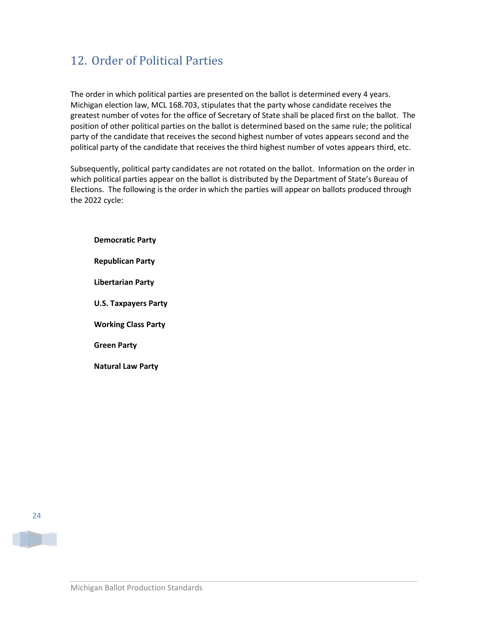# <span id="page-23-0"></span>12. Order of Political Parties

The order in which political parties are presented on the ballot is determined every 4 years. Michigan election law, MCL 168.703, stipulates that the party whose candidate receives the greatest number of votes for the office of Secretary of State shall be placed first on the ballot. The position of other political parties on the ballot is determined based on the same rule; the political party of the candidate that receives the second highest number of votes appears second and the political party of the candidate that receives the third highest number of votes appears third, etc.

Subsequently, political party candidates are not rotated on the ballot. Information on the order in which political parties appear on the ballot is distributed by the Department of State's Bureau of Elections. The following is the order in which the parties will appear on ballots produced through the 2022 cycle:

**Democratic Party Republican Party Libertarian Party U.S. Taxpayers Party Working Class Party Green Party**

**Natural Law Party**

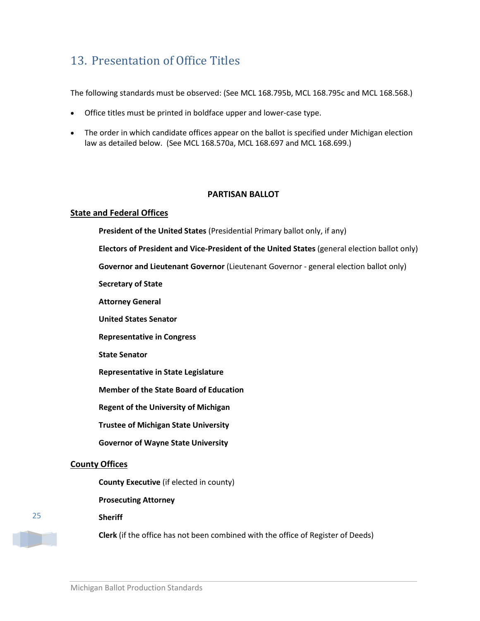# <span id="page-24-0"></span>13. Presentation of Office Titles

The following standards must be observed: (See MCL 168.795b, MCL 168.795c and MCL 168.568.)

- Office titles must be printed in boldface upper and lower-case type.
- The order in which candidate offices appear on the ballot is specified under Michigan election law as detailed below. (See MCL 168.570a, MCL 168.697 and MCL 168.699.)

#### **PARTISAN BALLOT**

#### **State and Federal Offices**

**President of the United States** (Presidential Primary ballot only, if any)

**Electors of President and Vice-President of the United States** (general election ballot only)

**Governor and Lieutenant Governor** (Lieutenant Governor - general election ballot only)

**Secretary of State**

**Attorney General** 

**United States Senator**

**Representative in Congress** 

**State Senator**

**Representative in State Legislature**

**Member of the State Board of Education**

**Regent of the University of Michigan**

**Trustee of Michigan State University**

**Governor of Wayne State University**

#### **County Offices**

**County Executive** (if elected in county)

**Prosecuting Attorney** 

**Sheriff** 

**Clerk** (if the office has not been combined with the office of Register of Deeds)

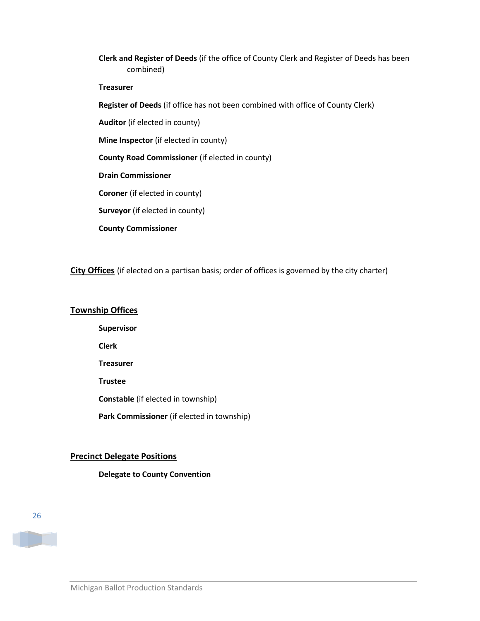**Clerk and Register of Deeds** (if the office of County Clerk and Register of Deeds has been combined)

#### **Treasurer**

**Register of Deeds** (if office has not been combined with office of County Clerk)

**Auditor** (if elected in county)

**Mine Inspector** (if elected in county)

**County Road Commissioner** (if elected in county)

**Drain Commissioner** 

**Coroner** (if elected in county)

**Surveyor** (if elected in county)

**County Commissioner** 

**City Offices** (if elected on a partisan basis; order of offices is governed by the city charter)

#### **Township Offices**

**Supervisor Clerk Treasurer Trustee Constable** (if elected in township) Park Commissioner (if elected in township)

#### **Precinct Delegate Positions**

#### **Delegate to County Convention**



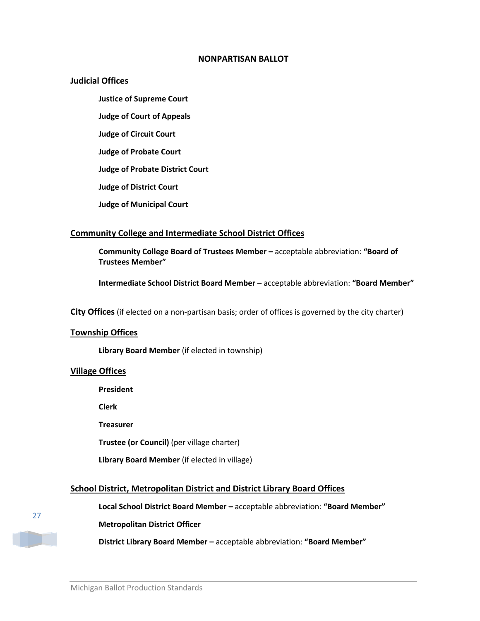#### **NONPARTISAN BALLOT**

#### **Judicial Offices**

**Justice of Supreme Court Judge of Court of Appeals Judge of Circuit Court Judge of Probate Court Judge of Probate District Court Judge of District Court**

**Judge of Municipal Court**

### **Community College and Intermediate School District Offices**

**Community College Board of Trustees Member –** acceptable abbreviation: **"Board of Trustees Member"**

**Intermediate School District Board Member –** acceptable abbreviation: **"Board Member"**

**City Offices** (if elected on a non-partisan basis; order of offices is governed by the city charter)

#### **Township Offices**

**Library Board Member** (if elected in township)

#### **Village Offices**

**President**

**Clerk**

**Treasurer**

**Trustee (or Council)** (per village charter)

**Library Board Member** (if elected in village)

#### **School District, Metropolitan District and District Library Board Offices**

**Local School District Board Member –** acceptable abbreviation: **"Board Member"**

#### **Metropolitan District Officer**

**District Library Board Member –** acceptable abbreviation: **"Board Member"**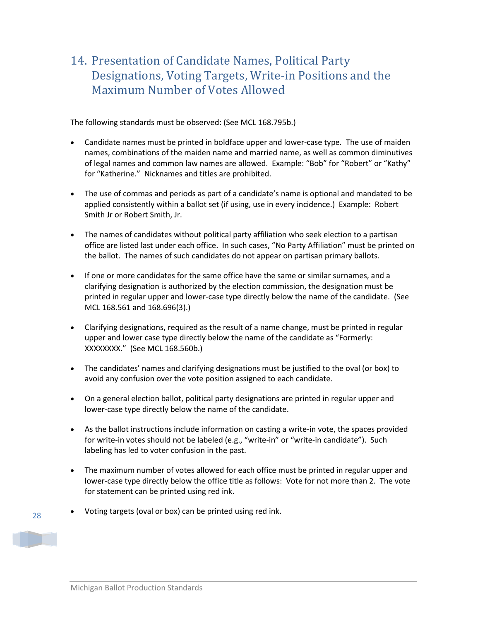### <span id="page-27-0"></span>14. Presentation of Candidate Names, Political Party Designations, Voting Targets, Write-in Positions and the Maximum Number of Votes Allowed

The following standards must be observed: (See MCL 168.795b.)

- Candidate names must be printed in boldface upper and lower-case type*.* The use of maiden names, combinations of the maiden name and married name, as well as common diminutives of legal names and common law names are allowed. Example: "Bob" for "Robert" or "Kathy" for "Katherine." Nicknames and titles are prohibited.
- The use of commas and periods as part of a candidate's name is optional and mandated to be applied consistently within a ballot set (if using, use in every incidence.) Example: Robert Smith Jr or Robert Smith, Jr.
- The names of candidates without political party affiliation who seek election to a partisan office are listed last under each office. In such cases, "No Party Affiliation" must be printed on the ballot. The names of such candidates do not appear on partisan primary ballots.
- If one or more candidates for the same office have the same or similar surnames, and a clarifying designation is authorized by the election commission, the designation must be printed in regular upper and lower-case type directly below the name of the candidate. (See MCL 168.561 and 168.696(3).)
- Clarifying designations, required as the result of a name change, must be printed in regular upper and lower case type directly below the name of the candidate as "Formerly: XXXXXXXX." (See MCL 168.560b.)
- The candidates' names and clarifying designations must be justified to the oval (or box) to avoid any confusion over the vote position assigned to each candidate.
- On a general election ballot, political party designations are printed in regular upper and lower-case type directly below the name of the candidate.
- As the ballot instructions include information on casting a write-in vote, the spaces provided for write-in votes should not be labeled (e.g., "write-in" or "write-in candidate"). Such labeling has led to voter confusion in the past.
- The maximum number of votes allowed for each office must be printed in regular upper and lower-case type directly below the office title as follows: Vote for not more than 2. The vote for statement can be printed using red ink.
- Voting targets (oval or box) can be printed using red ink.

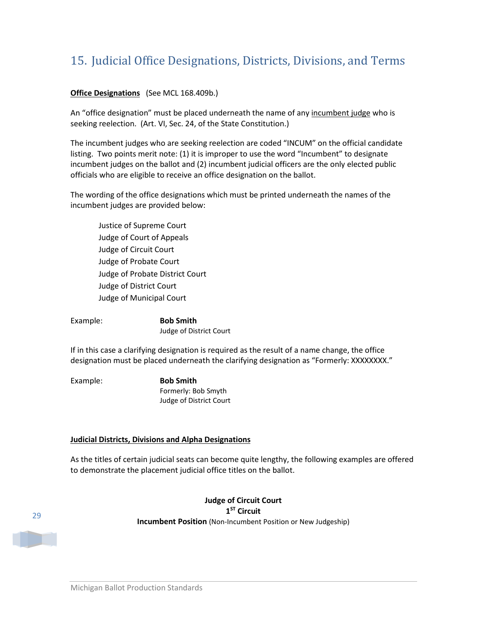# <span id="page-28-0"></span>15. Judicial Office Designations, Districts, Divisions, and Terms

#### **Office Designations** (See MCL 168.409b.)

An "office designation" must be placed underneath the name of any incumbent judge who is seeking reelection. (Art. VI, Sec. 24, of the State Constitution.)

The incumbent judges who are seeking reelection are coded "INCUM" on the official candidate listing. Two points merit note: (1) it is improper to use the word "Incumbent" to designate incumbent judges on the ballot and (2) incumbent judicial officers are the only elected public officials who are eligible to receive an office designation on the ballot.

The wording of the office designations which must be printed underneath the names of the incumbent judges are provided below:

Justice of Supreme Court Judge of Court of Appeals Judge of Circuit Court Judge of Probate Court Judge of Probate District Court Judge of District Court Judge of Municipal Court

Example: **Bob Smith** Judge of District Court

If in this case a clarifying designation is required as the result of a name change, the office designation must be placed underneath the clarifying designation as "Formerly: XXXXXXXX."

Example: **Bob Smith**

Formerly: Bob Smyth Judge of District Court

#### **Judicial Districts, Divisions and Alpha Designations**

As the titles of certain judicial seats can become quite lengthy, the following examples are offered to demonstrate the placement judicial office titles on the ballot.

29

**Judge of Circuit Court 1ST Circuit Incumbent Position** (Non-Incumbent Position or New Judgeship)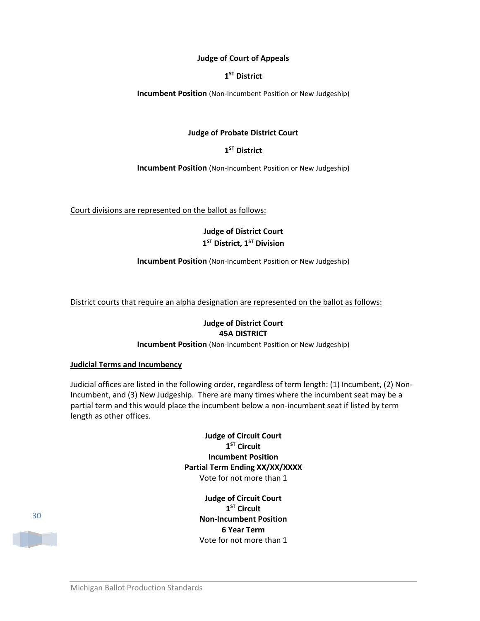#### **Judge of Court of Appeals**

#### **1ST District**

**Incumbent Position** (Non-Incumbent Position or New Judgeship)

#### **Judge of Probate District Court**

#### **1ST District**

**Incumbent Position** (Non-Incumbent Position or New Judgeship)

Court divisions are represented on the ballot as follows:

### **Judge of District Court**  $1<sup>ST</sup>$  **District, 1<sup>ST</sup> Division**

**Incumbent Position** (Non-Incumbent Position or New Judgeship)

District courts that require an alpha designation are represented on the ballot as follows:

#### **Judge of District Court 45A DISTRICT**

**Incumbent Position** (Non-Incumbent Position or New Judgeship)

#### **Judicial Terms and Incumbency**

Judicial offices are listed in the following order, regardless of term length: (1) Incumbent, (2) Non-Incumbent, and (3) New Judgeship. There are many times where the incumbent seat may be a partial term and this would place the incumbent below a non-incumbent seat if listed by term length as other offices.

> **Judge of Circuit Court 1ST Circuit Incumbent Position Partial Term Ending XX/XX/XXXX** Vote for not more than 1

> > **Judge of Circuit Court 1ST Circuit Non-Incumbent Position 6 Year Term** Vote for not more than 1

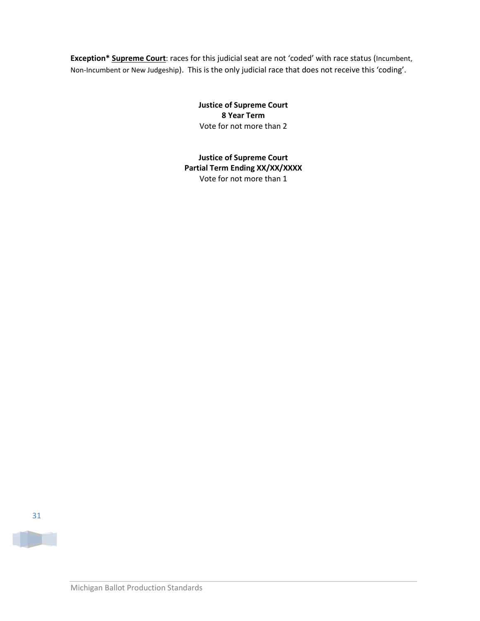**Exception\* Supreme Court**: races for this judicial seat are not 'coded' with race status (Incumbent, Non-Incumbent or New Judgeship). This is the only judicial race that does not receive this 'coding'.

> **Justice of Supreme Court 8 Year Term** Vote for not more than 2

**Justice of Supreme Court Partial Term Ending XX/XX/XXXX** Vote for not more than 1

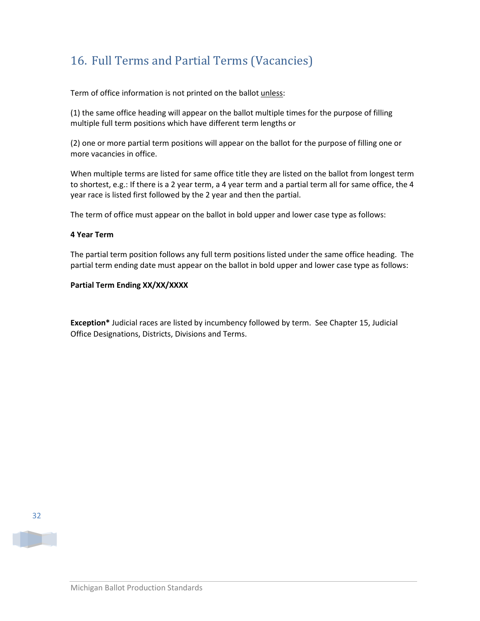# <span id="page-31-0"></span>16. Full Terms and Partial Terms (Vacancies)

Term of office information is not printed on the ballot unless:

(1) the same office heading will appear on the ballot multiple times for the purpose of filling multiple full term positions which have different term lengths or

(2) one or more partial term positions will appear on the ballot for the purpose of filling one or more vacancies in office.

When multiple terms are listed for same office title they are listed on the ballot from longest term to shortest, e.g.: If there is a 2 year term, a 4 year term and a partial term all for same office, the 4 year race is listed first followed by the 2 year and then the partial.

The term of office must appear on the ballot in bold upper and lower case type as follows:

#### **4 Year Term**

The partial term position follows any full term positions listed under the same office heading. The partial term ending date must appear on the ballot in bold upper and lower case type as follows:

#### **Partial Term Ending XX/XX/XXXX**

**Exception\*** Judicial races are listed by incumbency followed by term. See Chapter 15, Judicial Office Designations, Districts, Divisions and Terms.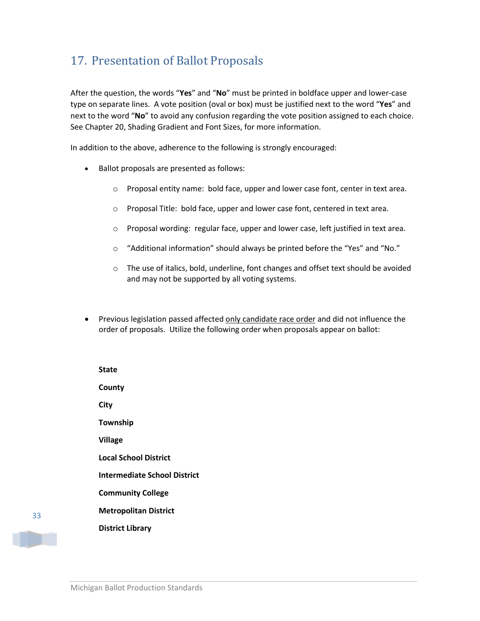# <span id="page-32-0"></span>17. Presentation of Ballot Proposals

After the question, the words "**Yes**" and "**No**" must be printed in boldface upper and lower-case type on separate lines. A vote position (oval or box) must be justified next to the word "**Yes**" and next to the word "**No**" to avoid any confusion regarding the vote position assigned to each choice. See Chapter 20, Shading Gradient and Font Sizes, for more information.

In addition to the above, adherence to the following is strongly encouraged:

- Ballot proposals are presented as follows:
	- $\circ$  Proposal entity name: bold face, upper and lower case font, center in text area.
	- o Proposal Title: bold face, upper and lower case font, centered in text area.
	- o Proposal wording: regular face, upper and lower case, left justified in text area.
	- o "Additional information" should always be printed before the "Yes" and "No."
	- $\circ$  The use of italics, bold, underline, font changes and offset text should be avoided and may not be supported by all voting systems.
- Previous legislation passed affected only candidate race order and did not influence the order of proposals. Utilize the following order when proposals appear on ballot:

| State                        |
|------------------------------|
| County                       |
| City                         |
| Township                     |
| Village                      |
| <b>Local School District</b> |
| Intermediate School District |
| <b>Community College</b>     |
| <b>Metropolitan District</b> |
| <b>District Library</b>      |
|                              |



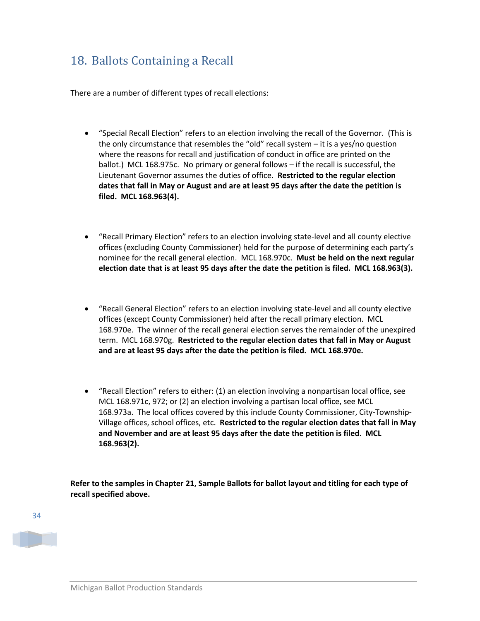# <span id="page-33-0"></span>18. Ballots Containing a Recall

There are a number of different types of recall elections:

- "Special Recall Election" refers to an election involving the recall of the Governor. (This is the only circumstance that resembles the "old" recall system – it is a yes/no question where the reasons for recall and justification of conduct in office are printed on the ballot.) MCL 168.975c. No primary or general follows – if the recall is successful, the Lieutenant Governor assumes the duties of office. **Restricted to the regular election dates that fall in May or August and are at least 95 days after the date the petition is filed. MCL 168.963(4).**
- "Recall Primary Election" refers to an election involving state-level and all county elective offices (excluding County Commissioner) held for the purpose of determining each party's nominee for the recall general election. MCL 168.970c. **Must be held on the next regular election date that is at least 95 days after the date the petition is filed. MCL 168.963(3).**
- "Recall General Election" refers to an election involving state-level and all county elective offices (except County Commissioner) held after the recall primary election. MCL 168.970e. The winner of the recall general election serves the remainder of the unexpired term. MCL 168.970g. **Restricted to the regular election dates that fall in May or August and are at least 95 days after the date the petition is filed. MCL 168.970e.**
- "Recall Election" refers to either: (1) an election involving a nonpartisan local office, see MCL 168.971c, 972; or (2) an election involving a partisan local office, see MCL 168.973a. The local offices covered by this include County Commissioner, City-Township-Village offices, school offices, etc. **Restricted to the regular election dates that fall in May and November and are at least 95 days after the date the petition is filed. MCL 168.963(2).**

**Refer to the samples in Chapter 21, Sample Ballots for ballot layout and titling for each type of recall specified above.** 

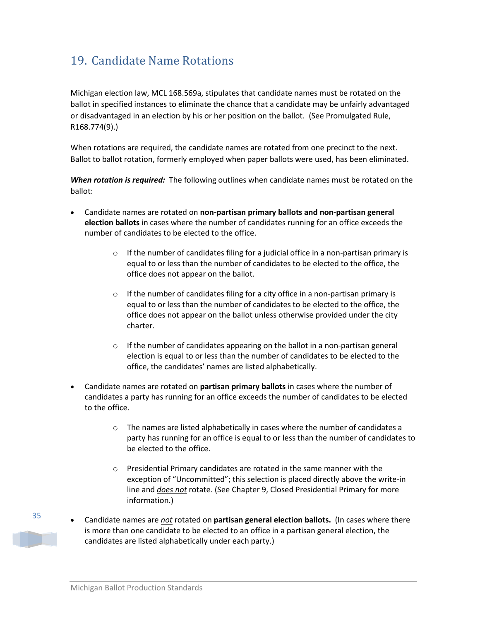# <span id="page-34-0"></span>19. Candidate Name Rotations

Michigan election law, MCL 168.569a, stipulates that candidate names must be rotated on the ballot in specified instances to eliminate the chance that a candidate may be unfairly advantaged or disadvantaged in an election by his or her position on the ballot. (See Promulgated Rule, R168.774(9).)

When rotations are required, the candidate names are rotated from one precinct to the next. Ballot to ballot rotation, formerly employed when paper ballots were used, has been eliminated.

*When rotation is required:* The following outlines when candidate names must be rotated on the ballot:

- Candidate names are rotated on **non-partisan primary ballots and non-partisan general election ballots** in cases where the number of candidates running for an office exceeds the number of candidates to be elected to the office.
	- $\circ$  If the number of candidates filing for a judicial office in a non-partisan primary is equal to or less than the number of candidates to be elected to the office, the office does not appear on the ballot.
	- $\circ$  If the number of candidates filing for a city office in a non-partisan primary is equal to or less than the number of candidates to be elected to the office, the office does not appear on the ballot unless otherwise provided under the city charter.
	- $\circ$  If the number of candidates appearing on the ballot in a non-partisan general election is equal to or less than the number of candidates to be elected to the office, the candidates' names are listed alphabetically.
- Candidate names are rotated on **partisan primary ballots** in cases where the number of candidates a party has running for an office exceeds the number of candidates to be elected to the office.
	- $\circ$  The names are listed alphabetically in cases where the number of candidates a party has running for an office is equal to or less than the number of candidates to be elected to the office.
	- o Presidential Primary candidates are rotated in the same manner with the exception of "Uncommitted"; this selection is placed directly above the write-in line and *does not* rotate. (See Chapter 9, Closed Presidential Primary for more information.)
- Candidate names are *not* rotated on **partisan general election ballots.** (In cases where there is more than one candidate to be elected to an office in a partisan general election, the candidates are listed alphabetically under each party.)

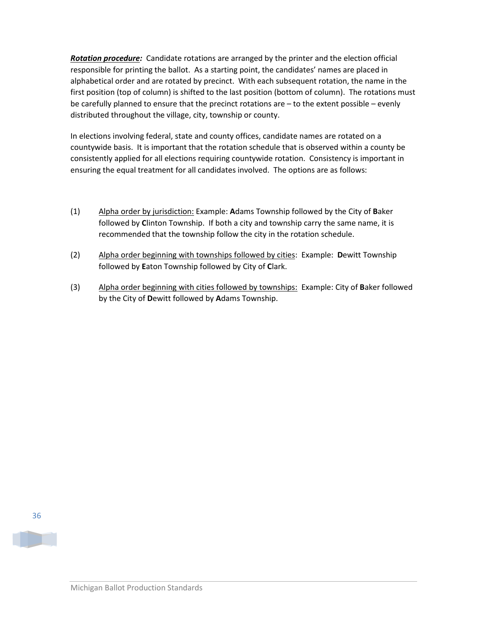*Rotation procedure:* Candidate rotations are arranged by the printer and the election official responsible for printing the ballot. As a starting point, the candidates' names are placed in alphabetical order and are rotated by precinct. With each subsequent rotation, the name in the first position (top of column) is shifted to the last position (bottom of column). The rotations must be carefully planned to ensure that the precinct rotations are – to the extent possible – evenly distributed throughout the village, city, township or county.

In elections involving federal, state and county offices, candidate names are rotated on a countywide basis. It is important that the rotation schedule that is observed within a county be consistently applied for all elections requiring countywide rotation. Consistency is important in ensuring the equal treatment for all candidates involved. The options are as follows:

- (1) Alpha order by jurisdiction: Example: **A**dams Township followed by the City of **B**aker followed by **C**linton Township. If both a city and township carry the same name, it is recommended that the township follow the city in the rotation schedule.
- (2) Alpha order beginning with townships followed by cities: Example: **D**ewitt Township followed by **E**aton Township followed by City of **C**lark.
- (3) Alpha order beginning with cities followed by townships: Example: City of **B**aker followed by the City of **D**ewitt followed by **A**dams Township.



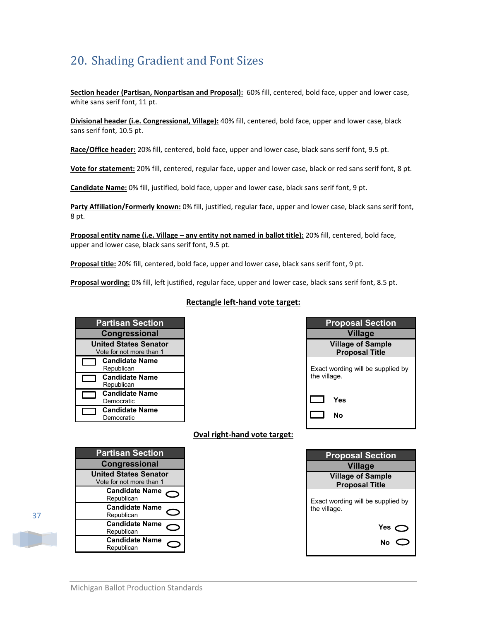# <span id="page-36-0"></span>20. Shading Gradient and Font Sizes

**Section header (Partisan, Nonpartisan and Proposal):** 60% fill, centered, bold face, upper and lower case, white sans serif font, 11 pt.

**Divisional header (i.e. Congressional, Village):** 40% fill, centered, bold face, upper and lower case, black sans serif font, 10.5 pt.

**Race/Office header:** 20% fill, centered, bold face, upper and lower case, black sans serif font, 9.5 pt.

**Vote for statement:** 20% fill, centered, regular face, upper and lower case, black or red sans serif font, 8 pt.

**Candidate Name:** 0% fill, justified, bold face, upper and lower case, black sans serif font, 9 pt.

**Party Affiliation/Formerly known:** 0% fill, justified, regular face, upper and lower case, black sans serif font, 8 pt.

**Proposal entity name (i.e. Village – any entity not named in ballot title):** 20% fill, centered, bold face, upper and lower case, black sans serif font, 9.5 pt.

**Proposal title:** 20% fill, centered, bold face, upper and lower case, black sans serif font, 9 pt.

**Proposal wording:** 0% fill, left justified, regular face, upper and lower case, black sans serif font, 8.5 pt.

#### **Rectangle left-hand vote target:**

| <b>Partisan Section</b> |                                                          |  |  |  |  |
|-------------------------|----------------------------------------------------------|--|--|--|--|
| <b>Congressional</b>    |                                                          |  |  |  |  |
|                         | <b>United States Senator</b><br>Vote for not more than 1 |  |  |  |  |
|                         | <b>Candidate Name</b><br>Republican                      |  |  |  |  |
|                         | <b>Candidate Name</b><br>Republican                      |  |  |  |  |
|                         | <b>Candidate Name</b><br>Democratic                      |  |  |  |  |
|                         | <b>Candidate Name</b><br>Democratic                      |  |  |  |  |

| <b>Proposal Section</b>                           |  |  |  |  |  |
|---------------------------------------------------|--|--|--|--|--|
| <b>Village</b>                                    |  |  |  |  |  |
| <b>Village of Sample</b><br><b>Proposal Title</b> |  |  |  |  |  |
| Exact wording will be supplied by<br>the village. |  |  |  |  |  |
| Yes<br>N٥                                         |  |  |  |  |  |

#### **Oval right-hand vote target:**

| <b>Partisan Section</b>      |  |  |  |  |  |
|------------------------------|--|--|--|--|--|
| <b>Congressional</b>         |  |  |  |  |  |
| <b>United States Senator</b> |  |  |  |  |  |
| Vote for not more than 1     |  |  |  |  |  |
| <b>Candidate Name</b>        |  |  |  |  |  |
| Republican                   |  |  |  |  |  |
| <b>Candidate Name</b>        |  |  |  |  |  |
| Republican                   |  |  |  |  |  |
| <b>Candidate Name</b>        |  |  |  |  |  |
| Republican                   |  |  |  |  |  |
| <b>Candidate Name</b>        |  |  |  |  |  |
| Republican                   |  |  |  |  |  |

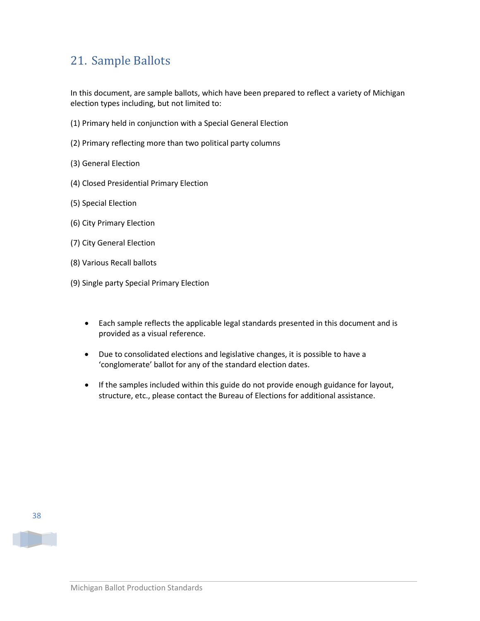# <span id="page-37-0"></span>21. Sample Ballots

In this document, are sample ballots, which have been prepared to reflect a variety of Michigan election types including, but not limited to:

- (1) Primary held in conjunction with a Special General Election
- (2) Primary reflecting more than two political party columns
- (3) General Election
- (4) Closed Presidential Primary Election
- (5) Special Election
- (6) City Primary Election
- (7) City General Election
- (8) Various Recall ballots
- (9) Single party Special Primary Election
	- Each sample reflects the applicable legal standards presented in this document and is provided as a visual reference.
	- Due to consolidated elections and legislative changes, it is possible to have a 'conglomerate' ballot for any of the standard election dates.
	- If the samples included within this guide do not provide enough guidance for layout, structure, etc., please contact the Bureau of Elections for additional assistance.

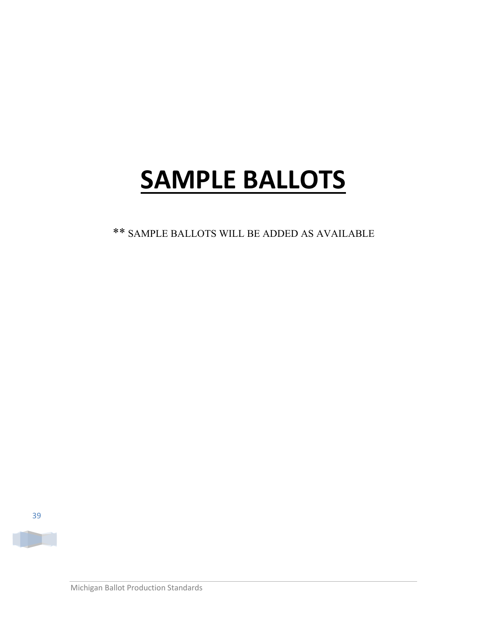# **SAMPLE BALLOTS**

\*\* SAMPLE BALLOTS WILL BE ADDED AS AVAILABLE

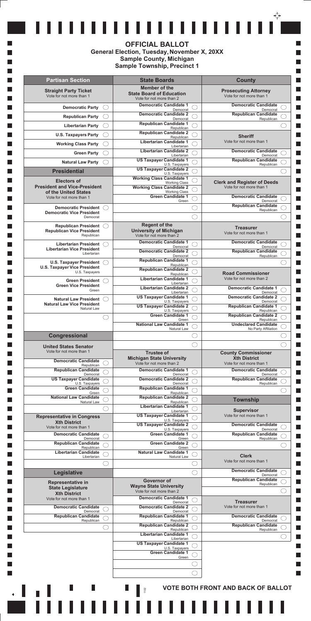|                                                                   | <b>County</b><br><b>State Boards</b>                                                                                                    |  |
|-------------------------------------------------------------------|-----------------------------------------------------------------------------------------------------------------------------------------|--|
| <b>Straight Party Ticket</b><br>Vote for not more than 1          | Member of the<br><b>Prosecuting Attorney</b><br><b>State Board of Education</b><br>Vote for not more than 1<br>Vote for not more than 2 |  |
| <b>Democratic Party</b>                                           | <b>Democratic Candidate 1</b><br><b>Democratic Candidate</b><br>Democrat<br>Democrat                                                    |  |
| <b>Republican Party</b>                                           | <b>Democratic Candidate 2</b><br><b>Republican Candidate</b><br>Republican<br>Democrat                                                  |  |
| <b>Libertarian Party</b>                                          | <b>Republican Candidate 1</b>                                                                                                           |  |
| <b>U.S. Taxpayers Party</b>                                       | Republican<br><b>Republican Candidate 2</b>                                                                                             |  |
|                                                                   | <b>Sheriff</b><br>Republican<br><b>Libertarian Candidate 1</b><br>Vote for not more than 1                                              |  |
| <b>Working Class Party</b>                                        | Libertarian                                                                                                                             |  |
| <b>Green Party</b>                                                | <b>Libertarian Candidate 2</b><br><b>Democratic Candidate</b><br>Democrat<br>Libertarian                                                |  |
| <b>Natural Law Party</b>                                          | <b>US Taxpayer Candidate 1</b><br><b>Republican Candidate</b><br>U.S. Taxpayers<br>Republican                                           |  |
| <b>Presidential</b>                                               | <b>US Taxpayer Candidate 2</b>                                                                                                          |  |
| <b>Electors of</b>                                                | U.S. Taxpayers<br><b>Working Class Candidate 1</b>                                                                                      |  |
| <b>President and Vice-President</b>                               | <b>Clerk and Register of Deeds</b><br><b>Working Class</b><br><b>Working Class Candidate 2</b><br>Vote for not more than 1              |  |
| of the United States                                              | <b>Working Class</b><br><b>Green Candidate 1</b><br><b>Democratic Candidate</b>                                                         |  |
| Vote for not more than 1                                          | Democrat<br>Green                                                                                                                       |  |
| <b>Democratic President</b><br><b>Democratic Vice President</b>   | <b>Republican Candidate</b><br>Republican                                                                                               |  |
| Democrat                                                          |                                                                                                                                         |  |
| <b>Republican President</b>                                       | <b>Regent of the</b><br><b>Treasurer</b>                                                                                                |  |
| <b>Republican Vice President</b><br>Republican                    | <b>University of Michigan</b><br>Vote for not more than 1<br>Vote for not more than 2                                                   |  |
|                                                                   | <b>Democratic Candidate</b><br><b>Democratic Candidate 1</b>                                                                            |  |
| <b>Libertarian President</b><br><b>Libertarian Vice President</b> | Democrat<br>Democrat                                                                                                                    |  |
| Libertarian                                                       | <b>Democratic Candidate 2</b><br><b>Republican Candidate</b><br>Democrat<br>Republican                                                  |  |
| <b>U.S. Taxpayer President</b>                                    | <b>Republican Candidate 1</b><br>Republican                                                                                             |  |
| <b>U.S. Taxpayer Vice President</b><br>U.S. Taxpayers             | <b>Republican Candidate 2</b><br><b>Road Commissioner</b>                                                                               |  |
| <b>Green President</b>                                            | Republican<br><b>Libertarian Candidate 1</b><br>Vote for not more than 2                                                                |  |
| <b>Green Vice President</b>                                       | Libertarian<br><b>Libertarian Candidate 2</b><br><b>Democratic Candidate 1</b>                                                          |  |
| Green                                                             | Libertarian<br>Democrat                                                                                                                 |  |
| <b>Natural Law President</b>                                      | <b>Democratic Candidate 2</b><br><b>US Taxpayer Candidate 1</b><br>U.S. Taxpayers<br>Democrat                                           |  |
| <b>Natural Law Vice President</b><br>Natural Law                  | <b>US Taxpayer Candidate 2</b><br><b>Republican Candidate 1</b><br>U.S. Taxpayers<br>Republican                                         |  |
|                                                                   | <b>Republican Candidate 2</b><br><b>Green Candidate 1</b>                                                                               |  |
|                                                                   | Green<br>Republican<br><b>National Law Candidate 1</b><br><b>Undeclared Candidate</b>                                                   |  |
|                                                                   | Natural Law<br>No Party Affiliation                                                                                                     |  |
| Congressional                                                     |                                                                                                                                         |  |
| <b>United States Senator</b>                                      |                                                                                                                                         |  |
| Vote for not more than 1                                          | <b>Trustee of</b><br><b>County Commissioner</b>                                                                                         |  |
| <b>Democratic Candidate</b>                                       | <b>Michigan State University</b><br><b>Xth District</b><br>Vote for not more than 2<br>Vote for not more than 1                         |  |
| Republican<br><b>Republican Candidate</b>                         | <b>Democratic Candidate 1</b><br><b>Democratic Candidate</b>                                                                            |  |
| Democrat<br><b>US Taxpayer Candidate</b>                          | Democrat<br>Democrat<br><b>Democratic Candidate 2</b><br><b>Republican Candidate</b>                                                    |  |
| U.S. Taxpayers                                                    | Republican<br>Democrat                                                                                                                  |  |
| <b>Green Candidate</b><br>Green                                   | <b>Republican Candidate 1</b><br>Republican                                                                                             |  |
| <b>National Law Candidate</b><br>Natural Law                      | <b>Republican Candidate 2</b><br><b>Township</b><br>Republican                                                                          |  |
|                                                                   | <b>Libertarian Candidate 1</b>                                                                                                          |  |
| <b>Representative in Congress</b>                                 | <b>Supervisor</b><br>Libertarian<br>Vote for not more than 1<br><b>US Taxpayer Candidate 1</b>                                          |  |
| <b>Xth District</b>                                               | U.S. Taxpayers<br><b>US Taxpayer Candidate 2</b><br><b>Democratic Candidate</b>                                                         |  |
| Vote for not more than 1                                          | U.S. Taxpayers<br>Democrat                                                                                                              |  |
| <b>Democratic Candidate</b><br>Democrat                           | <b>Green Candidate 1</b><br><b>Republican Candidate</b><br>Green<br>Republican                                                          |  |
|                                                                   | <b>Green Candidate 2</b>                                                                                                                |  |
| <b>Republican Candidate</b>                                       |                                                                                                                                         |  |
| Republican<br><b>Libertarian Candidate</b>                        | Green<br><b>Natural Law Candidate 1</b>                                                                                                 |  |
| Libertarian                                                       | <b>Clerk</b><br>Natural Law<br>Vote for not more than 1                                                                                 |  |
|                                                                   |                                                                                                                                         |  |
| Legislative                                                       | <b>Democratic Candidate</b><br>Democrat                                                                                                 |  |
| Representative in                                                 | <b>Republican Candidate</b><br><b>Governor of</b><br>Republican                                                                         |  |
| <b>State Legislature</b>                                          | <b>Wayne State University</b><br>Vote for not more than 2                                                                               |  |
| <b>Xth District</b><br>Vote for not more than 1                   | <b>Democratic Candidate 1</b>                                                                                                           |  |
| <b>Democratic Candidate</b>                                       | <b>Treasurer</b><br>Democrat<br>Vote for not more than 1                                                                                |  |
| Democrat                                                          | <b>Democratic Candidate 2</b><br>Democrat                                                                                               |  |
| <b>Republican Candidate</b><br>Republican                         | <b>Republican Candidate 1</b><br><b>Democratic Candidate</b><br>Democrat<br>Republican                                                  |  |
|                                                                   | <b>Republican Candidate 2</b><br><b>Republican Candidate</b>                                                                            |  |
|                                                                   | Republican<br>Republican<br><b>Libertarian Candidate 1</b>                                                                              |  |
|                                                                   | Libertarian<br><b>US Taxpayer Candidate 1</b>                                                                                           |  |
|                                                                   | U.S. Taxpayers                                                                                                                          |  |
|                                                                   | <b>Green Candidate 1</b><br>Green                                                                                                       |  |
|                                                                   |                                                                                                                                         |  |
|                                                                   |                                                                                                                                         |  |
|                                                                   |                                                                                                                                         |  |

### **OFFICIAL BALLOT General Election, Tuesday, November X, 20XX Sample County, Michigan Sample Township, Precinct 1**

**T** 

**Tale** 

**Tale** 

**The State** 

П  $\Box$ 

 $\blacksquare$ 

 $\Box$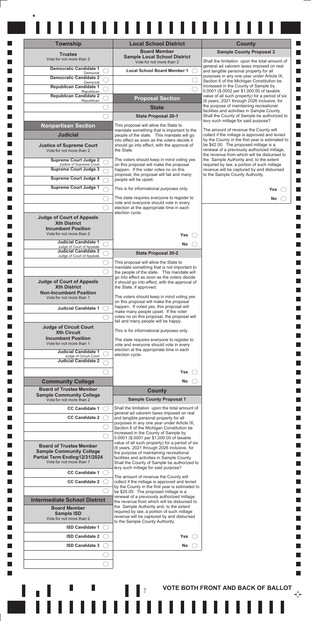| <b>Township</b>                                             | <b>Local School District</b><br><b>Board Member</b>                                           | <b>County</b><br><b>Sample County Proposal 2</b>                                                 |
|-------------------------------------------------------------|-----------------------------------------------------------------------------------------------|--------------------------------------------------------------------------------------------------|
| <b>Trustee</b><br>Vote for not more than 2                  | <b>Sample Local School District</b><br>Vote for not more than 2                               | Shall the limitation upon the total amount of                                                    |
| <b>Democratic Candidate 1</b>                               | <b>Local School Board Member 1</b>                                                            | general ad valorem taxes imposed on real<br>and tangible personal property for all               |
| Democrat<br><b>Democratic Candidate 2</b>                   |                                                                                               | purposes in any one year under Article IX,<br>Section 6 of the Michigan Constitution be          |
| Democrat<br><b>Republican Candidate 1</b>                   |                                                                                               | increased in the County of Sample by                                                             |
| Republican<br><b>Republican Candidate 2</b>                 | <b>Proposal Section</b>                                                                       | 0.0001 (\$.0002 per \$1,000.00 of taxable<br>value of all such property) for a period of six     |
| Republican                                                  | <b>State</b>                                                                                  | (6 years, 2021 through 2026 inclusive, for<br>the purpose of maintaining recreational            |
|                                                             | <b>State Proposal 20-1</b>                                                                    | facilities and activities in Sample County.<br>Shall the County of Sample be authorized to       |
| <b>Nonpartisan Section</b>                                  | This proposal will allow the State to                                                         | levy such millage for said purpose?                                                              |
|                                                             | mandate something that is important to the                                                    | The amount of revenue the County will                                                            |
| <b>Judicial</b>                                             | people of the state. This mandate will go<br>into effect as soon as the voters decide it      | collect if the millage is approved and levied<br>by the County in the first year is estimated to |
| <b>Justice of Supreme Court</b><br>Vote for not more than 2 | should go into effect, with the approval of<br>the State.                                     | be \$42.00. The proposed millage is a<br>renewal of a previously authorized millage,             |
| <b>Supreme Court Judge 2</b>                                | The voters should keep in mind voting yes                                                     | the revenue from which will be disbursed to<br>the Sample Authority and, to the extent           |
| Justice of Supreme Court<br><b>Supreme Court Judge 3</b>    | on this proposal will make the proposal<br>happen. If the voter votes no on this              | required by law, a portion of such millage<br>revenue will be captured by and disbursed          |
| <b>Supreme Court Judge 4</b>                                | proposal, the proposal will fail and many<br>people will be upset.                            | to the Sample County Authority.                                                                  |
| <b>Supreme Court Judge 1</b>                                | This is for informational purposes only.                                                      |                                                                                                  |
|                                                             |                                                                                               | Yes                                                                                              |
|                                                             | The state requires everyone to register to<br>vote and everyone should vote in every          | No                                                                                               |
|                                                             | election at the appropriate time in each<br>election cycle.                                   |                                                                                                  |
| <b>Judge of Court of Appeals</b><br><b>Xth District</b>     |                                                                                               |                                                                                                  |
| <b>Incumbent Position</b>                                   |                                                                                               |                                                                                                  |
| Vote for not more than 2                                    | <b>Yes</b>                                                                                    |                                                                                                  |
| <b>Judicial Candidate 1</b><br>Judge of Court of Appeals    | No.                                                                                           |                                                                                                  |
| <b>Judicial Candidate 2</b><br>Judge of Court of Appeals    | <b>State Proposal 20-2</b>                                                                    |                                                                                                  |
|                                                             | This proposal will allow the State to<br>mandate something that is not important to           |                                                                                                  |
|                                                             | the people of the state. This mandate will                                                    |                                                                                                  |
| <b>Judge of Court of Appeals</b>                            | go into effect as soon as the voters decide<br>it should go into effect, with the approval of |                                                                                                  |
| <b>Xth District</b><br><b>Non-Incumbent Position</b>        | the State, if approved.                                                                       |                                                                                                  |
| Vote for not more than 1                                    | The voters should keep in mind voting yes<br>on this proposal will make the proposal          |                                                                                                  |
| <b>Judicial Candidate 1</b>                                 | happen. If voted yes, this proposal will<br>make many people upset. If the voter              |                                                                                                  |
|                                                             | votes no on this proposal, the proposal will                                                  |                                                                                                  |
| <b>Judge of Circuit Court</b>                               | fail and many people will be happy.                                                           |                                                                                                  |
| <b>Xth Circuit</b><br><b>Incumbent Position</b>             | This is for informational purposes only.                                                      |                                                                                                  |
| Vote for not more than 1                                    | The state requires everyone to register to<br>vote and everyone should vote in every          |                                                                                                  |
| <b>Judicial Candidate 1</b><br>Judge of Circuit Court       | election at the appropriate time in each<br>election cycle.                                   |                                                                                                  |
| <b>Judicial Candidate 2</b>                                 |                                                                                               |                                                                                                  |
|                                                             | Yes                                                                                           |                                                                                                  |
| <b>Community College</b>                                    | No                                                                                            |                                                                                                  |
| <b>Board of Trustee Member</b>                              | <b>County</b>                                                                                 |                                                                                                  |
| <b>Sample Community College</b><br>Vote for not more than 2 | <b>Sample County Proposal 1</b>                                                               |                                                                                                  |
| <b>CC Candidate 1</b>                                       | Shall the limitation upon the total amount of                                                 |                                                                                                  |
| <b>CC Candidate 2</b>                                       | general ad valorem taxes imposed on real<br>and tangible personal property for all            |                                                                                                  |
|                                                             | purposes in any one year under Article IX,<br>Section 6 of the Michigan Constitution be       |                                                                                                  |
|                                                             | increased in the County of Sample by<br>0.0001 (\$.0001 per \$1,000.00 of taxable             |                                                                                                  |
| <b>Board of Trustee Member</b>                              | value of all such property) for a period of six                                               |                                                                                                  |
| <b>Sample Community College</b>                             | (6 years, 2021 through 2026 inclusive, for<br>the purpose of maintaining recreational         |                                                                                                  |
| Partial Term Ending12/31/2024<br>Vote for not more than 1   | facilities and activities in Sample County.<br>Shall the County of Sample be authorized to    |                                                                                                  |
| <b>CC Candidate 1</b>                                       | levy such millage for said purpose?                                                           |                                                                                                  |
| <b>CC Candidate 2</b>                                       | The amount of revenue the County will<br>collect if the millage is approved and levied        |                                                                                                  |
|                                                             | by the County in the first year is estimated to                                               |                                                                                                  |
| <b>Intermediate School District</b>                         | be \$20.00. The proposed millage is a<br>renewal of a previously authorized millage,          |                                                                                                  |
| <b>Board Member</b>                                         | the revenue from which will be disbursed to<br>the Sample Authority and, to the extent        |                                                                                                  |
| <b>Sample ISD</b>                                           | required by law, a portion of such millage<br>revenue will be captured by and disbursed       |                                                                                                  |
| Vote for not more than 2                                    | to the Sample County Authority.                                                               |                                                                                                  |
|                                                             |                                                                                               |                                                                                                  |
| <b>ISD Candidate 1</b>                                      | Yes                                                                                           |                                                                                                  |
| <b>ISD Candidate 2</b>                                      | No.                                                                                           |                                                                                                  |
| <b>ISD Candidate 3</b>                                      |                                                                                               |                                                                                                  |
|                                                             |                                                                                               |                                                                                                  |
|                                                             |                                                                                               |                                                                                                  |
|                                                             |                                                                                               |                                                                                                  |

 $\ddot{}$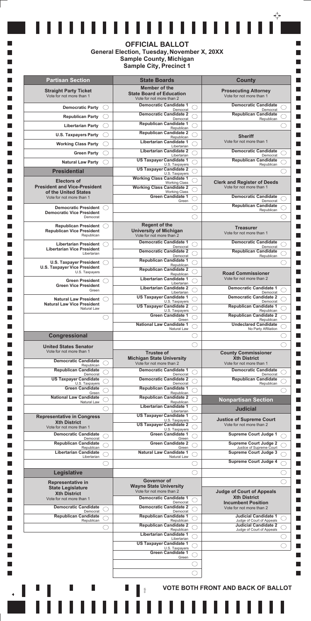|                                                                       | <b>State Boards</b>                                                          | <b>County</b>                                               |  |
|-----------------------------------------------------------------------|------------------------------------------------------------------------------|-------------------------------------------------------------|--|
| <b>Straight Party Ticket</b><br>Vote for not more than 1              | Member of the<br><b>State Board of Education</b><br>Vote for not more than 2 | <b>Prosecuting Attorney</b><br>Vote for not more than 1     |  |
| <b>Democratic Party</b>                                               | <b>Democratic Candidate 1</b><br>Democrat                                    | <b>Democratic Candidate</b><br>Democrat                     |  |
| <b>Republican Party</b>                                               | <b>Democratic Candidate 2</b><br>Democrat                                    | <b>Republican Candidate</b><br>Republican                   |  |
| <b>Libertarian Party</b>                                              | <b>Republican Candidate 1</b>                                                |                                                             |  |
| <b>U.S. Taxpayers Party</b>                                           | Republican<br><b>Republican Candidate 2</b>                                  |                                                             |  |
| <b>Working Class Party</b>                                            | Republican<br><b>Libertarian Candidate 1</b>                                 | <b>Sheriff</b><br>Vote for not more than 1                  |  |
|                                                                       | Libertarian<br><b>Libertarian Candidate 2</b>                                | <b>Democratic Candidate</b>                                 |  |
| <b>Green Party</b>                                                    | Libertarian<br><b>US Taxpayer Candidate 1</b>                                | Democrat<br><b>Republican Candidate</b>                     |  |
| <b>Natural Law Party</b>                                              | U.S. Taxpayers<br><b>US Taxpayer Candidate 2</b>                             | Republican                                                  |  |
| <b>Presidential</b>                                                   | U.S. Taxpayers<br><b>Working Class Candidate 1</b>                           |                                                             |  |
| <b>Electors of</b><br><b>President and Vice-President</b>             | <b>Working Class</b>                                                         | <b>Clerk and Register of Deeds</b>                          |  |
| of the United States                                                  | <b>Working Class Candidate 2</b><br><b>Working Class</b>                     | Vote for not more than 1                                    |  |
| Vote for not more than 1                                              | <b>Green Candidate 1</b><br>Green                                            | <b>Democratic Candidate</b><br>Democrat                     |  |
| <b>Democratic President</b>                                           |                                                                              | <b>Republican Candidate</b><br>Republican                   |  |
| <b>Democratic Vice President</b><br>Democrat                          |                                                                              |                                                             |  |
| <b>Republican President</b>                                           | <b>Regent of the</b>                                                         | <b>Treasurer</b>                                            |  |
| <b>Republican Vice President</b><br>Republican                        | <b>University of Michigan</b><br>Vote for not more than 2                    | Vote for not more than 1                                    |  |
| <b>Libertarian President</b>                                          | <b>Democratic Candidate 1</b>                                                | <b>Democratic Candidate</b>                                 |  |
| <b>Libertarian Vice President</b>                                     | Democrat<br><b>Democratic Candidate 2</b>                                    | Democrat<br><b>Republican Candidate</b>                     |  |
| Libertarian                                                           | Democrat<br><b>Republican Candidate 1</b>                                    | Republican                                                  |  |
| <b>U.S. Taxpayer President</b><br><b>U.S. Taxpayer Vice President</b> | Republican                                                                   |                                                             |  |
| U.S. Taxpayers                                                        | <b>Republican Candidate 2</b><br>Republican                                  | <b>Road Commissioner</b>                                    |  |
| <b>Green President</b><br><b>Green Vice President</b>                 | <b>Libertarian Candidate 1</b><br>Libertarian                                | Vote for not more than 2                                    |  |
| Green                                                                 | <b>Libertarian Candidate 2</b><br>Libertarian                                | <b>Democratic Candidate 1</b><br>Democrat                   |  |
| <b>Natural Law President</b>                                          | <b>US Taxpayer Candidate 1</b><br>U.S. Taxpayers                             | <b>Democratic Candidate 2</b><br>Democrat                   |  |
| <b>Natural Law Vice President</b><br>Natural Law                      | <b>US Taxpayer Candidate 2</b>                                               | <b>Republican Candidate 1</b>                               |  |
|                                                                       | U.S. Taxpayers<br><b>Green Candidate 1</b>                                   | Republican<br><b>Republican Candidate 2</b>                 |  |
|                                                                       | Green<br><b>National Law Candidate 1</b>                                     | Republican<br><b>Undeclared Candidate</b>                   |  |
|                                                                       | <b>Natural Law</b>                                                           | No Party Affiliation                                        |  |
| Congressional                                                         |                                                                              |                                                             |  |
| <b>United States Senator</b><br>Vote for not more than 1              |                                                                              |                                                             |  |
|                                                                       | <b>Trustee of</b><br><b>Michigan State University</b>                        | <b>County Commissioner</b><br><b>Xth District</b>           |  |
| <b>Democratic Candidate</b><br>Republican                             | Vote for not more than 2                                                     | Vote for not more than 1                                    |  |
| <b>Republican Candidate</b><br>Democrat                               | <b>Democratic Candidate 1</b><br>Democrat                                    | <b>Democratic Candidate</b><br>Democrat                     |  |
| <b>US Taxpayer Candidate</b><br>U.S. Taxpayers                        | <b>Democratic Candidate 2</b><br>Democrat                                    | <b>Republican Candidate</b><br>Republican                   |  |
| <b>Green Candidate</b>                                                | <b>Republican Candidate 1</b>                                                |                                                             |  |
| Green<br><b>National Law Candidate</b>                                | Republican<br><b>Republican Candidate 2</b>                                  | <b>Nonpartisan Section</b>                                  |  |
| <b>Natural Law</b>                                                    | Republican<br><b>Libertarian Candidate 1</b>                                 | <b>Judicial</b>                                             |  |
|                                                                       | Libertarian                                                                  |                                                             |  |
|                                                                       |                                                                              |                                                             |  |
| <b>Representative in Congress</b><br><b>Xth District</b>              | <b>US Taxpayer Candidate 1</b><br>U.S. Taxpayers                             | <b>Justice of Supreme Court</b><br>Vote for not more than 2 |  |
| Vote for not more than 1                                              | <b>US Taxpayer Candidate 2</b><br>U.S. Taxpayers                             |                                                             |  |
| <b>Democratic Candidate</b><br>Democrat                               | <b>Green Candidate 1</b><br>Green                                            | <b>Supreme Court Judge 1</b>                                |  |
| <b>Republican Candidate</b><br>Republican                             | <b>Green Candidate 2</b><br>Green                                            | <b>Supreme Court Judge 2</b><br>Justice of Supreme Court    |  |
| <b>Libertarian Candidate</b><br>Libertarian                           | <b>Natural Law Candidate 1</b><br>Natural Law                                | <b>Supreme Court Judge 3</b>                                |  |
|                                                                       |                                                                              | <b>Supreme Court Judge 4</b>                                |  |
|                                                                       |                                                                              |                                                             |  |
| Legislative                                                           | <b>Governor of</b>                                                           |                                                             |  |
| <b>Representative in</b><br><b>State Legislature</b>                  | <b>Wayne State University</b>                                                |                                                             |  |
| <b>Xth District</b>                                                   | Vote for not more than 2<br><b>Democratic Candidate 1</b>                    | <b>Judge of Court of Appeals</b><br><b>Xth District</b>     |  |
| Vote for not more than 1                                              | Democrat                                                                     | <b>Incumbent Position</b>                                   |  |
| <b>Democratic Candidate</b><br>Democrat                               | <b>Democratic Candidate 2</b><br>Democrat                                    | Vote for not more than 2                                    |  |
| <b>Republican Candidate</b><br>Republican                             | <b>Republican Candidate 1</b><br>Republican                                  | <b>Judicial Candidate 1</b><br>Judge of Court of Appeals    |  |
|                                                                       | <b>Republican Candidate 2</b><br>Republican                                  | <b>Judicial Candidate 2</b><br>Judge of Court of Appeals    |  |
|                                                                       | <b>Libertarian Candidate 1</b><br>Libertarian                                |                                                             |  |
|                                                                       | <b>US Taxpayer Candidate 1</b>                                               |                                                             |  |
|                                                                       | U.S. Taxpayers<br><b>Green Candidate 1</b>                                   |                                                             |  |
|                                                                       | Green                                                                        |                                                             |  |
|                                                                       |                                                                              |                                                             |  |
|                                                                       |                                                                              |                                                             |  |

### **OFFICIAL BALLOT General Election, Tuesday, November X, 20XX Sample County, Michigan Sample City, Precinct 1**

**T** 

**Tale** 

**Tale** 

**Tale** 

 $\upphi$ 

 $\Box$  $\Box$ 

 $\Box$ 

 $\Box$